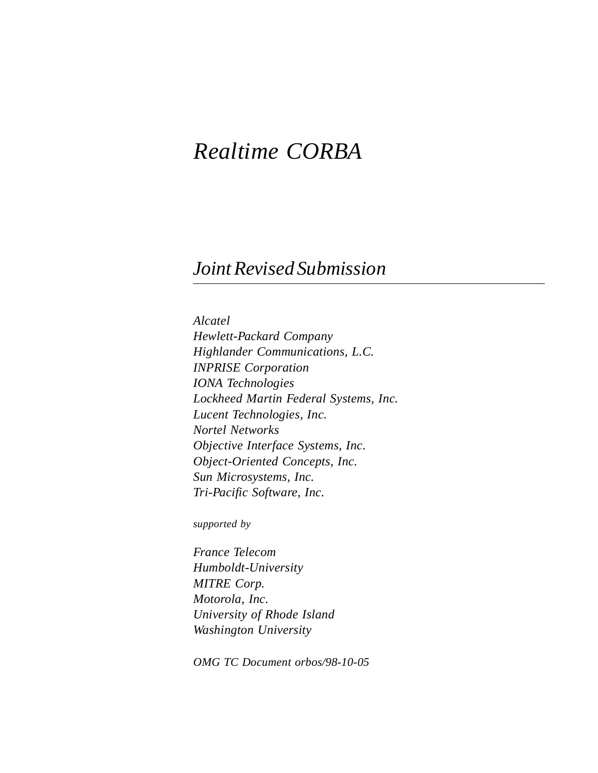# *Realtime CORBA*

# *Joint Revised Submission*

*Alcatel Hewlett-Packard Company Highlander Communications, L.C. INPRISE Corporation IONA Technologies Lockheed Martin Federal Systems, Inc. Lucent Technologies, Inc. Nortel Networks Objective Interface Systems, Inc. Object-Oriented Concepts, Inc. Sun Microsystems, Inc. Tri-Pacific Software, Inc.*

*supported by*

*France Telecom Humboldt-University MITRE Corp. Motorola, Inc. University of Rhode Island Washington University*

*OMG TC Document orbos/98-10-05*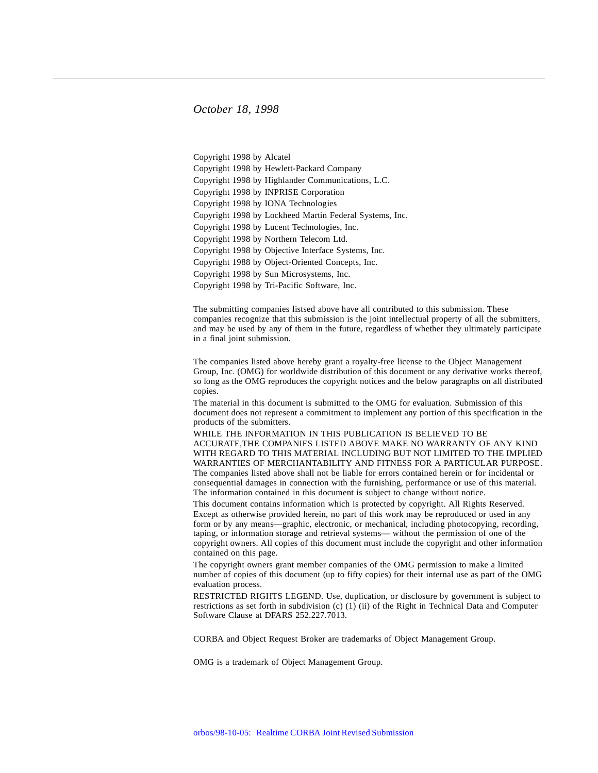#### *October 18, 1998*

Copyright 1998 by Alcatel Copyright 1998 by Hewlett-Packard Company Copyright 1998 by Highlander Communications, L.C. Copyright 1998 by INPRISE Corporation Copyright 1998 by IONA Technologies Copyright 1998 by Lockheed Martin Federal Systems, Inc. Copyright 1998 by Lucent Technologies, Inc. Copyright 1998 by Northern Telecom Ltd. Copyright 1998 by Objective Interface Systems, Inc. Copyright 1988 by Object-Oriented Concepts, Inc. Copyright 1998 by Sun Microsystems, Inc. Copyright 1998 by Tri-Pacific Software, Inc.

The submitting companies listsed above have all contributed to this submission. These companies recognize that this submission is the joint intellectual property of all the submitters, and may be used by any of them in the future, regardless of whether they ultimately participate in a final joint submission.

The companies listed above hereby grant a royalty-free license to the Object Management Group, Inc. (OMG) for worldwide distribution of this document or any derivative works thereof, so long as the OMG reproduces the copyright notices and the below paragraphs on all distributed copies.

The material in this document is submitted to the OMG for evaluation. Submission of this document does not represent a commitment to implement any portion of this specification in the products of the submitters.

WHILE THE INFORMATION IN THIS PUBLICATION IS BELIEVED TO BE ACCURATE,THE COMPANIES LISTED ABOVE MAKE NO WARRANTY OF ANY KIND WITH REGARD TO THIS MATERIAL INCLUDING BUT NOT LIMITED TO THE IMPLIED WARRANTIES OF MERCHANTABILITY AND FITNESS FOR A PARTICULAR PURPOSE. The companies listed above shall not be liable for errors contained herein or for incidental or consequential damages in connection with the furnishing, performance or use of this material. The information contained in this document is subject to change without notice.

This document contains information which is protected by copyright. All Rights Reserved. Except as otherwise provided herein, no part of this work may be reproduced or used in any form or by any means—graphic, electronic, or mechanical, including photocopying, recording, taping, or information storage and retrieval systems— without the permission of one of the copyright owners. All copies of this document must include the copyright and other information contained on this page.

The copyright owners grant member companies of the OMG permission to make a limited number of copies of this document (up to fifty copies) for their internal use as part of the OMG evaluation process.

RESTRICTED RIGHTS LEGEND. Use, duplication, or disclosure by government is subject to restrictions as set forth in subdivision (c) (1) (ii) of the Right in Technical Data and Computer Software Clause at DFARS 252.227.7013.

CORBA and Object Request Broker are trademarks of Object Management Group.

OMG is a trademark of Object Management Group.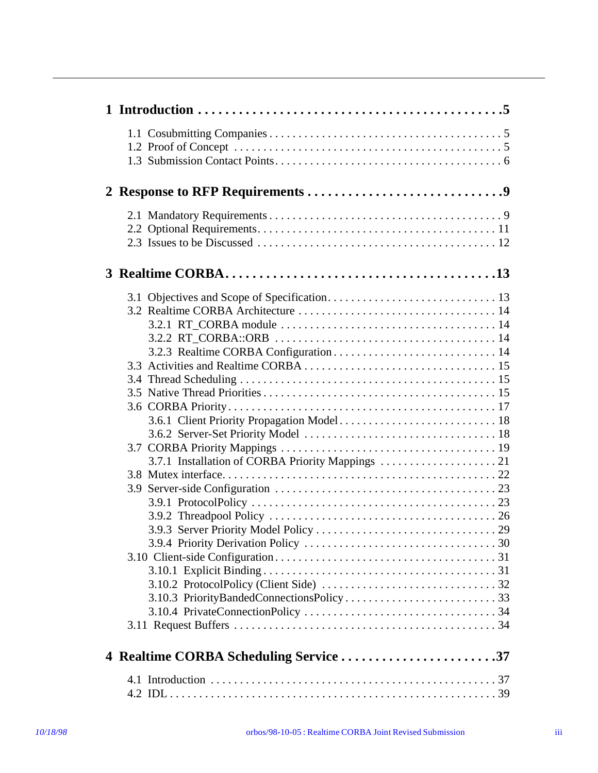| 4 Realtime CORBA Scheduling Service 37 |  |
|----------------------------------------|--|
|                                        |  |
|                                        |  |
|                                        |  |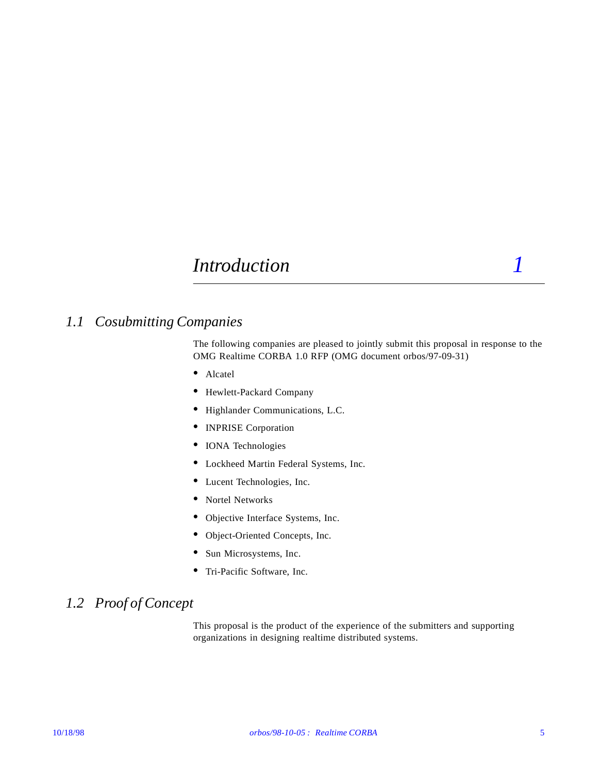# *Introduction* 1

## *1.1 Cosubmitting Companies*

The following companies are pleased to jointly submit this proposal in response to the OMG Realtime CORBA 1.0 RFP (OMG document orbos/97-09-31)

- **•** Alcatel
- **•** Hewlett-Packard Company
- **•** Highlander Communications, L.C.
- **•** INPRISE Corporation
- **•** IONA Technologies
- **•** Lockheed Martin Federal Systems, Inc.
- **•** Lucent Technologies, Inc.
- **•** Nortel Networks
- **•** Objective Interface Systems, Inc.
- **•** Object-Oriented Concepts, Inc.
- **•** Sun Microsystems, Inc.
- **•** Tri-Pacific Software, Inc.

## *1.2 Proof of Concept*

This proposal is the product of the experience of the submitters and supporting organizations in designing realtime distributed systems.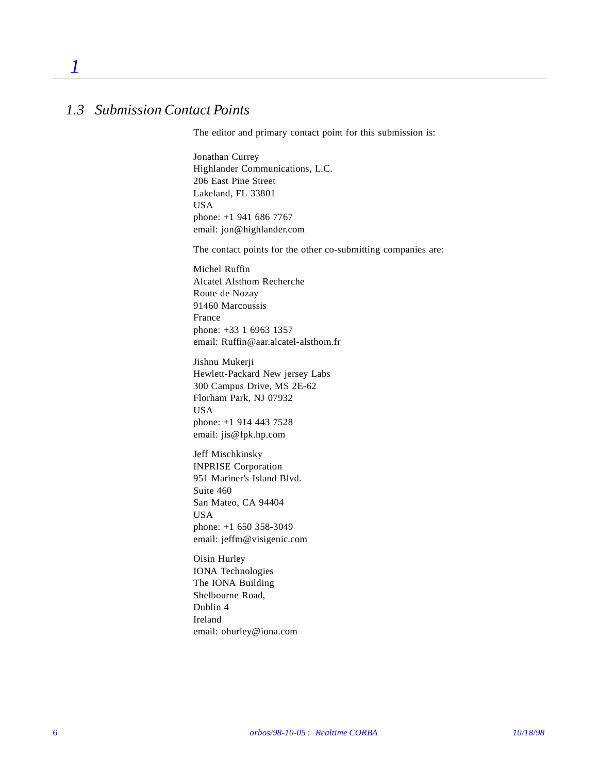## *1.3 Submission Contact Points*

*1*

The editor and primary contact point for this submission is:

Jonathan Currey Highlander Communications, L.C. 206 East Pine Street Lakeland, FL 33801 USA phone: +1 941 686 7767 email: jon@highlander.com

The contact points for the other co-submitting companies are:

Michel Ruffin Alcatel Alsthom Recherche Route de Nozay 91460 Marcoussis France phone: +33 1 6963 1357 email: Ruffin@aar.alcatel-alsthom.fr

Jishnu Mukerji Hewlett-Packard New jersey Labs 300 Campus Drive, MS 2E-62 Florham Park, NJ 07932 USA phone: +1 914 443 7528 email: jis@fpk.hp.com

Jeff Mischkinsky INPRISE Corporation 951 Mariner's Island Blvd. Suite 460 San Mateo, CA 94404 USA phone: +1 650 358-3049 email: jeffm@visigenic.com

Oisin Hurley IONA Technologies The IONA Building Shelbourne Road, Dublin 4 Ireland email: ohurley@iona.com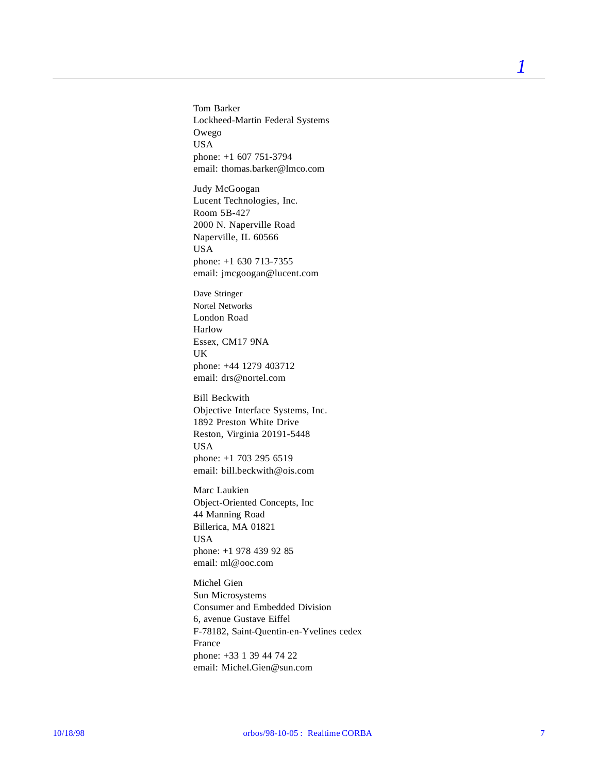Tom Barker Lockheed-Martin Federal Systems Owego USA phone: +1 607 751-3794 email: thomas.barker@lmco.com

Judy McGoogan Lucent Technologies, Inc. Room 5B-427 2000 N. Naperville Road Naperville, IL 60566 USA phone: +1 630 713-7355 email: jmcgoogan@lucent.com

Dave Stringer Nortel Networks London Road Harlow Essex, CM17 9NA UK phone: +44 1279 403712 email: drs@nortel.com

Bill Beckwith Objective Interface Systems, Inc. 1892 Preston White Drive Reston, Virginia 20191-5448 USA phone: +1 703 295 6519 email: bill.beckwith@ois.com

Marc Laukien Object-Oriented Concepts, Inc 44 Manning Road Billerica, MA 01821 USA phone: +1 978 439 92 85 email: ml@ooc.com

Michel Gien Sun Microsystems Consumer and Embedded Division 6, avenue Gustave Eiffel F-78182, Saint-Quentin-en-Yvelines cedex France phone: +33 1 39 44 74 22 email: Michel.Gien@sun.com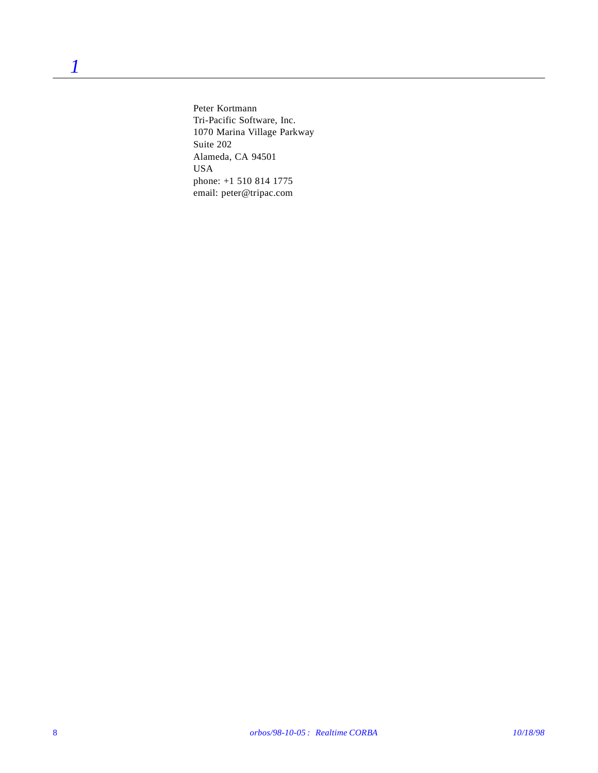Peter Kortmann Tri-Pacific Software, Inc. 1070 Marina Village Parkway Suite 202 Alameda, CA 94501 USA phone: +1 510 814 1775 email: peter@tripac.com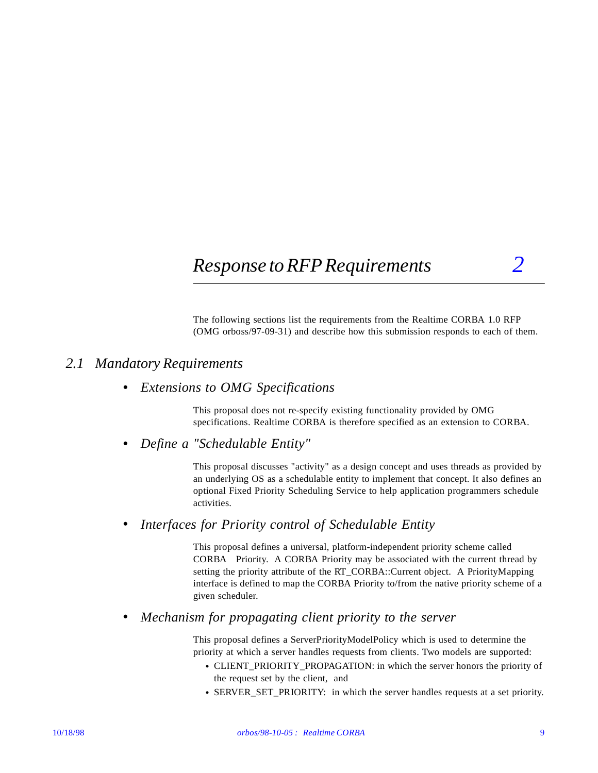# *Response to RFP Requirements 2*

The following sections list the requirements from the Realtime CORBA 1.0 RFP (OMG orboss/97-09-31) and describe how this submission responds to each of them.

## *2.1 Mandatory Requirements*

### **•** *Extensions to OMG Specifications*

This proposal does not re-specify existing functionality provided by OMG specifications. Realtime CORBA is therefore specified as an extension to CORBA.

### **•** *Define a "Schedulable Entity"*

This proposal discusses "activity" as a design concept and uses threads as provided by an underlying OS as a schedulable entity to implement that concept. It also defines an optional Fixed Priority Scheduling Service to help application programmers schedule activities.

### **•** *Interfaces for Priority control of Schedulable Entity*

This proposal defines a universal, platform-independent priority scheme called CORBA Priority. A CORBA Priority may be associated with the current thread by setting the priority attribute of the RT\_CORBA::Current object. A PriorityMapping interface is defined to map the CORBA Priority to/from the native priority scheme of a given scheduler.

### **•** *Mechanism for propagating client priority to the server*

This proposal defines a ServerPriorityModelPolicy which is used to determine the priority at which a server handles requests from clients. Two models are supported:

- **•** CLIENT\_PRIORITY\_PROPAGATION: in which the server honors the priority of the request set by the client, and
- **•** SERVER\_SET\_PRIORITY: in which the server handles requests at a set priority.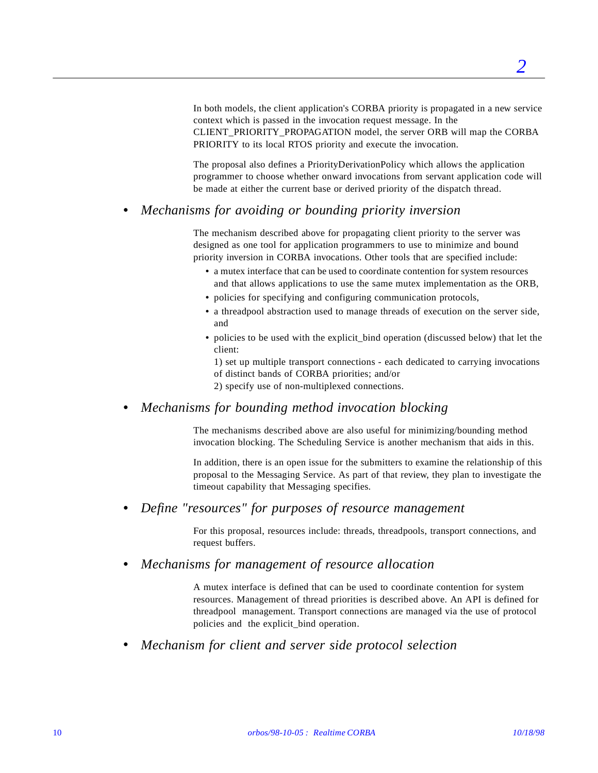In both models, the client application's CORBA priority is propagated in a new service context which is passed in the invocation request message. In the CLIENT\_PRIORITY\_PROPAGATION model, the server ORB will map the CORBA PRIORITY to its local RTOS priority and execute the invocation.

The proposal also defines a PriorityDerivationPolicy which allows the application programmer to choose whether onward invocations from servant application code will be made at either the current base or derived priority of the dispatch thread.

### **•** *Mechanisms for avoiding or bounding priority inversion*

The mechanism described above for propagating client priority to the server was designed as one tool for application programmers to use to minimize and bound priority inversion in CORBA invocations. Other tools that are specified include:

- **•** a mutex interface that can be used to coordinate contention for system resources and that allows applications to use the same mutex implementation as the ORB,
- policies for specifying and configuring communication protocols,
- **•** a threadpool abstraction used to manage threads of execution on the server side, and
- policies to be used with the explicit\_bind operation (discussed below) that let the client:

1) set up multiple transport connections - each dedicated to carrying invocations of distinct bands of CORBA priorities; and/or 2) specify use of non-multiplexed connections.

**•** *Mechanisms for bounding method invocation blocking*

The mechanisms described above are also useful for minimizing/bounding method invocation blocking. The Scheduling Service is another mechanism that aids in this.

In addition, there is an open issue for the submitters to examine the relationship of this proposal to the Messaging Service. As part of that review, they plan to investigate the timeout capability that Messaging specifies.

**•** *Define "resources" for purposes of resource management*

For this proposal, resources include: threads, threadpools, transport connections, and request buffers.

### **•** *Mechanisms for management of resource allocation*

A mutex interface is defined that can be used to coordinate contention for system resources. Management of thread priorities is described above. An API is defined for threadpool management. Transport connections are managed via the use of protocol policies and the explicit\_bind operation.

**•** *Mechanism for client and server side protocol selection*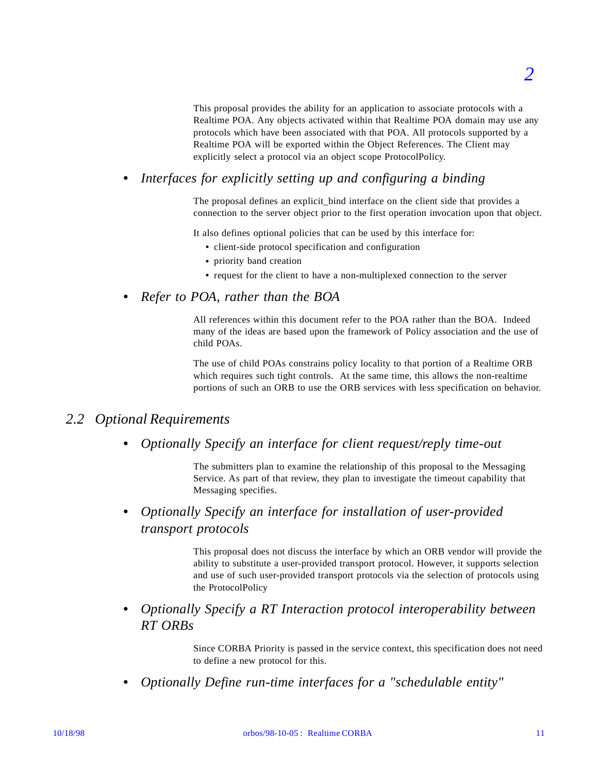This proposal provides the ability for an application to associate protocols with a Realtime POA. Any objects activated within that Realtime POA domain may use any protocols which have been associated with that POA. All protocols supported by a Realtime POA will be exported within the Object References. The Client may explicitly select a protocol via an object scope ProtocolPolicy.

**•** *Interfaces for explicitly setting up and configuring a binding*

The proposal defines an explicit bind interface on the client side that provides a connection to the server object prior to the first operation invocation upon that object.

It also defines optional policies that can be used by this interface for:

- **•** client-side protocol specification and configuration
- **•** priority band creation
- **•** request for the client to have a non-multiplexed connection to the server

## **•** *Refer to POA, rather than the BOA*

All references within this document refer to the POA rather than the BOA. Indeed many of the ideas are based upon the framework of Policy association and the use of child POAs.

The use of child POAs constrains policy locality to that portion of a Realtime ORB which requires such tight controls. At the same time, this allows the non-realtime portions of such an ORB to use the ORB services with less specification on behavior.

## *2.2 Optional Requirements*

**•** *Optionally Specify an interface for client request/reply time-out*

The submitters plan to examine the relationship of this proposal to the Messaging Service. As part of that review, they plan to investigate the timeout capability that Messaging specifies.

**•** *Optionally Specify an interface for installation of user-provided transport protocols*

> This proposal does not discuss the interface by which an ORB vendor will provide the ability to substitute a user-provided transport protocol. However, it supports selection and use of such user-provided transport protocols via the selection of protocols using the ProtocolPolicy

**•** *Optionally Specify a RT Interaction protocol interoperability between RT ORBs*

> Since CORBA Priority is passed in the service context, this specification does not need to define a new protocol for this.

**•** *Optionally Define run-time interfaces for a "schedulable entity"*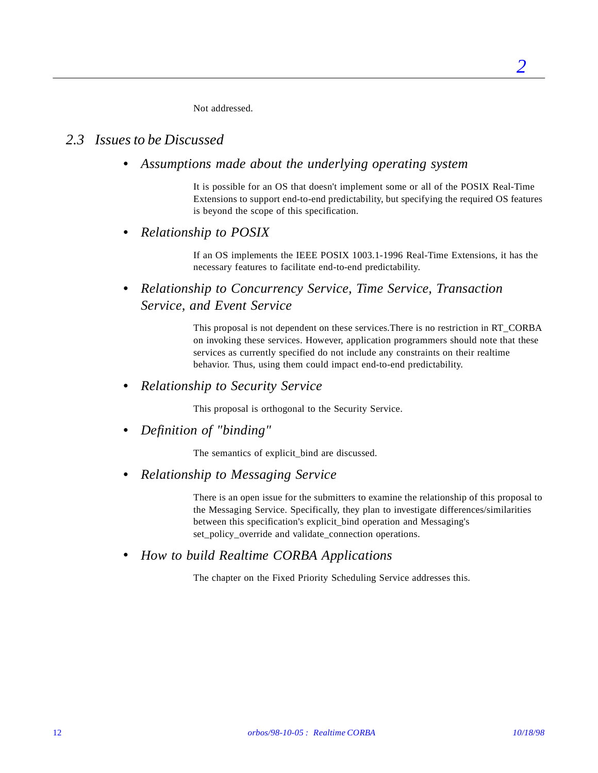Not addressed.

## *2.3 Issues to be Discussed*

**•** *Assumptions made about the underlying operating system*

It is possible for an OS that doesn't implement some or all of the POSIX Real-Time Extensions to support end-to-end predictability, but specifying the required OS features is beyond the scope of this specification.

**•** *Relationship to POSIX*

If an OS implements the IEEE POSIX 1003.1-1996 Real-Time Extensions, it has the necessary features to facilitate end-to-end predictability.

**•** *Relationship to Concurrency Service, Time Service, Transaction Service, and Event Service*

> This proposal is not dependent on these services.There is no restriction in RT\_CORBA on invoking these services. However, application programmers should note that these services as currently specified do not include any constraints on their realtime behavior. Thus, using them could impact end-to-end predictability.

**•** *Relationship to Security Service*

This proposal is orthogonal to the Security Service.

**•** *Definition of "binding"*

The semantics of explicit\_bind are discussed.

**•** *Relationship to Messaging Service*

There is an open issue for the submitters to examine the relationship of this proposal to the Messaging Service. Specifically, they plan to investigate differences/similarities between this specification's explicit\_bind operation and Messaging's set\_policy\_override and validate\_connection operations.

**•** *How to build Realtime CORBA Applications*

The chapter on the Fixed Priority Scheduling Service addresses this.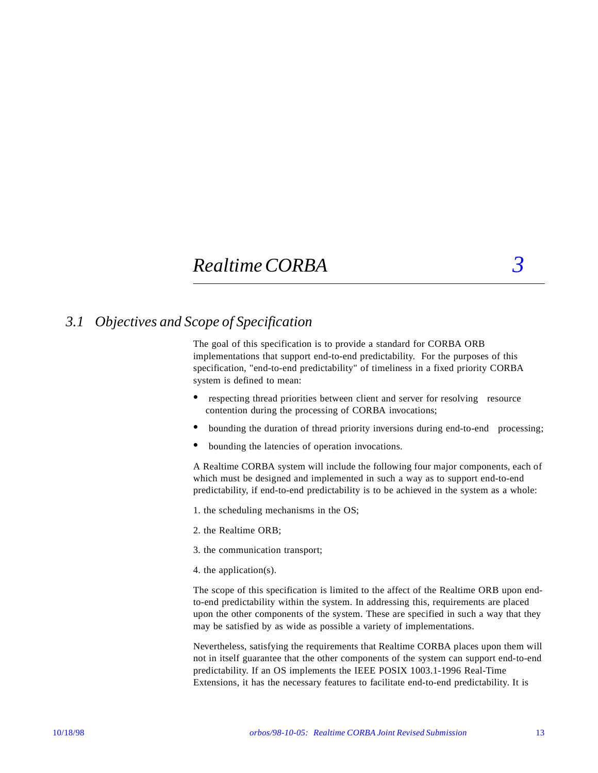# *Realtime CORBA 3*

## *3.1 Objectives and Scope of Specification*

The goal of this specification is to provide a standard for CORBA ORB implementations that support end-to-end predictability. For the purposes of this specification, "end-to-end predictability" of timeliness in a fixed priority CORBA system is defined to mean:

- respecting thread priorities between client and server for resolving resource contention during the processing of CORBA invocations;
- **•** bounding the duration of thread priority inversions during end-to-end processing;
- **•** bounding the latencies of operation invocations.

A Realtime CORBA system will include the following four major components, each of which must be designed and implemented in such a way as to support end-to-end predictability, if end-to-end predictability is to be achieved in the system as a whole:

1. the scheduling mechanisms in the OS;

- 2. the Realtime ORB;
- 3. the communication transport;
- 4. the application(s).

The scope of this specification is limited to the affect of the Realtime ORB upon endto-end predictability within the system. In addressing this, requirements are placed upon the other components of the system. These are specified in such a way that they may be satisfied by as wide as possible a variety of implementations.

Nevertheless, satisfying the requirements that Realtime CORBA places upon them will not in itself guarantee that the other components of the system can support end-to-end predictability. If an OS implements the IEEE POSIX 1003.1-1996 Real-Time Extensions, it has the necessary features to facilitate end-to-end predictability. It is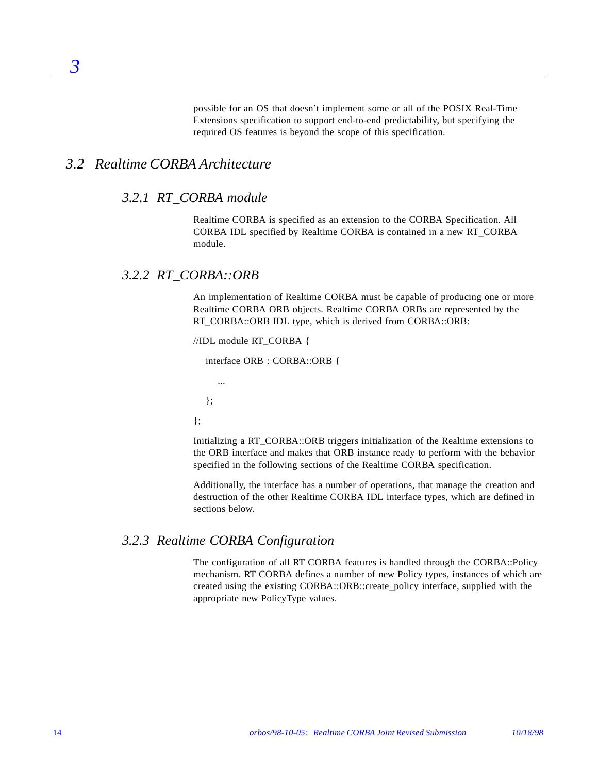possible for an OS that doesn't implement some or all of the POSIX Real-Time Extensions specification to support end-to-end predictability, but specifying the required OS features is beyond the scope of this specification.

## *3.2 Realtime CORBA Architecture*

*3*

#### *3.2.1 RT\_CORBA module*

Realtime CORBA is specified as an extension to the CORBA Specification. All CORBA IDL specified by Realtime CORBA is contained in a new RT\_CORBA module.

### *3.2.2 RT\_CORBA::ORB*

An implementation of Realtime CORBA must be capable of producing one or more Realtime CORBA ORB objects. Realtime CORBA ORBs are represented by the RT\_CORBA::ORB IDL type, which is derived from CORBA::ORB:

//IDL module RT\_CORBA {

interface ORB : CORBA::ORB {

...

};

};

Initializing a RT\_CORBA::ORB triggers initialization of the Realtime extensions to the ORB interface and makes that ORB instance ready to perform with the behavior specified in the following sections of the Realtime CORBA specification.

Additionally, the interface has a number of operations, that manage the creation and destruction of the other Realtime CORBA IDL interface types, which are defined in sections below.

### *3.2.3 Realtime CORBA Configuration*

The configuration of all RT CORBA features is handled through the CORBA::Policy mechanism. RT CORBA defines a number of new Policy types, instances of which are created using the existing CORBA::ORB::create\_policy interface, supplied with the appropriate new PolicyType values.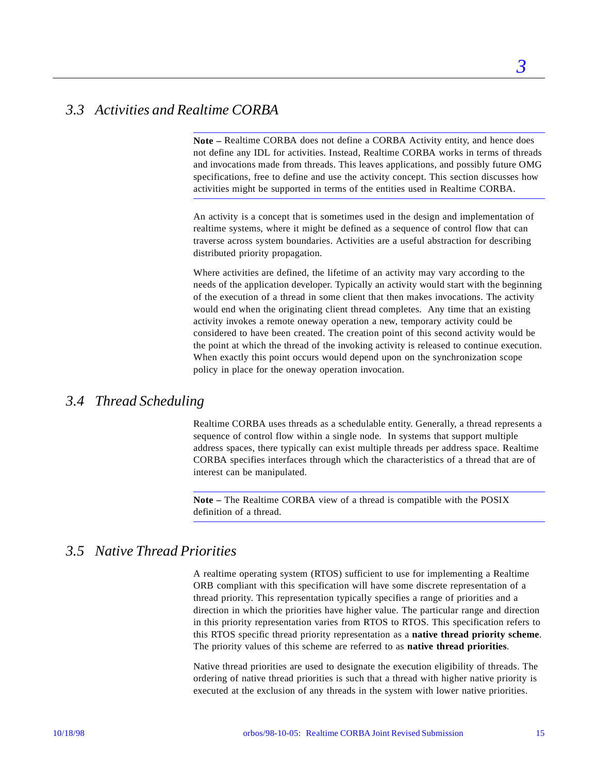*3*

## *3.3 Activities and Realtime CORBA*

**Note –** Realtime CORBA does not define a CORBA Activity entity, and hence does not define any IDL for activities. Instead, Realtime CORBA works in terms of threads and invocations made from threads. This leaves applications, and possibly future OMG specifications, free to define and use the activity concept. This section discusses how activities might be supported in terms of the entities used in Realtime CORBA.

An activity is a concept that is sometimes used in the design and implementation of realtime systems, where it might be defined as a sequence of control flow that can traverse across system boundaries. Activities are a useful abstraction for describing distributed priority propagation.

Where activities are defined, the lifetime of an activity may vary according to the needs of the application developer. Typically an activity would start with the beginning of the execution of a thread in some client that then makes invocations. The activity would end when the originating client thread completes. Any time that an existing activity invokes a remote oneway operation a new, temporary activity could be considered to have been created. The creation point of this second activity would be the point at which the thread of the invoking activity is released to continue execution. When exactly this point occurs would depend upon on the synchronization scope policy in place for the oneway operation invocation.

## *3.4 Thread Scheduling*

Realtime CORBA uses threads as a schedulable entity. Generally, a thread represents a sequence of control flow within a single node. In systems that support multiple address spaces, there typically can exist multiple threads per address space. Realtime CORBA specifies interfaces through which the characteristics of a thread that are of interest can be manipulated.

**Note –** The Realtime CORBA view of a thread is compatible with the POSIX definition of a thread.

## *3.5 Native Thread Priorities*

A realtime operating system (RTOS) sufficient to use for implementing a Realtime ORB compliant with this specification will have some discrete representation of a thread priority. This representation typically specifies a range of priorities and a direction in which the priorities have higher value. The particular range and direction in this priority representation varies from RTOS to RTOS. This specification refers to this RTOS specific thread priority representation as a **native thread priority scheme**. The priority values of this scheme are referred to as **native thread priorities**.

Native thread priorities are used to designate the execution eligibility of threads. The ordering of native thread priorities is such that a thread with higher native priority is executed at the exclusion of any threads in the system with lower native priorities.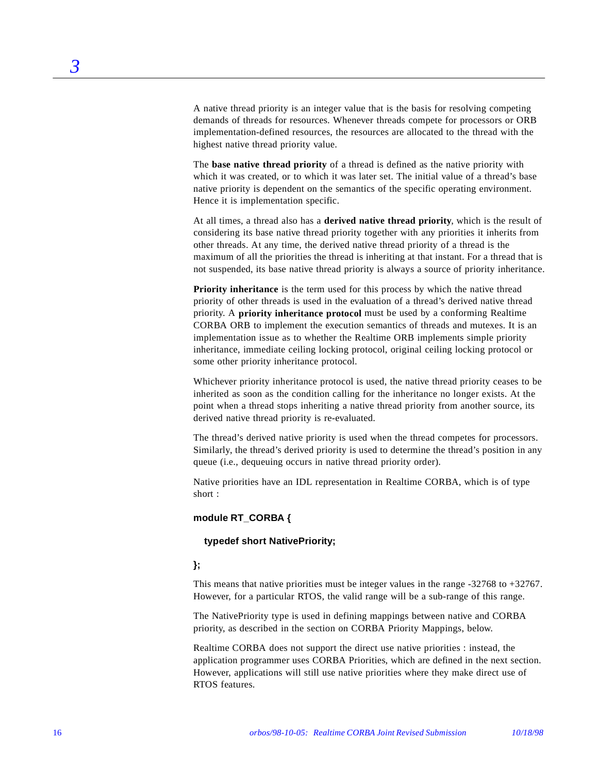A native thread priority is an integer value that is the basis for resolving competing demands of threads for resources. Whenever threads compete for processors or ORB implementation-defined resources, the resources are allocated to the thread with the highest native thread priority value.

The **base native thread priority** of a thread is defined as the native priority with which it was created, or to which it was later set. The initial value of a thread's base native priority is dependent on the semantics of the specific operating environment. Hence it is implementation specific.

At all times, a thread also has a **derived native thread priority**, which is the result of considering its base native thread priority together with any priorities it inherits from other threads. At any time, the derived native thread priority of a thread is the maximum of all the priorities the thread is inheriting at that instant. For a thread that is not suspended, its base native thread priority is always a source of priority inheritance.

**Priority inheritance** is the term used for this process by which the native thread priority of other threads is used in the evaluation of a thread's derived native thread priority. A **priority inheritance protocol** must be used by a conforming Realtime CORBA ORB to implement the execution semantics of threads and mutexes. It is an implementation issue as to whether the Realtime ORB implements simple priority inheritance, immediate ceiling locking protocol, original ceiling locking protocol or some other priority inheritance protocol.

Whichever priority inheritance protocol is used, the native thread priority ceases to be inherited as soon as the condition calling for the inheritance no longer exists. At the point when a thread stops inheriting a native thread priority from another source, its derived native thread priority is re-evaluated.

The thread's derived native priority is used when the thread competes for processors. Similarly, the thread's derived priority is used to determine the thread's position in any queue (i.e., dequeuing occurs in native thread priority order).

Native priorities have an IDL representation in Realtime CORBA, which is of type short :

#### **module RT\_CORBA {**

#### **typedef short NativePriority;**

#### **};**

This means that native priorities must be integer values in the range  $-32768$  to  $+32767$ . However, for a particular RTOS, the valid range will be a sub-range of this range.

The NativePriority type is used in defining mappings between native and CORBA priority, as described in the section on CORBA Priority Mappings, below.

Realtime CORBA does not support the direct use native priorities : instead, the application programmer uses CORBA Priorities, which are defined in the next section. However, applications will still use native priorities where they make direct use of RTOS features.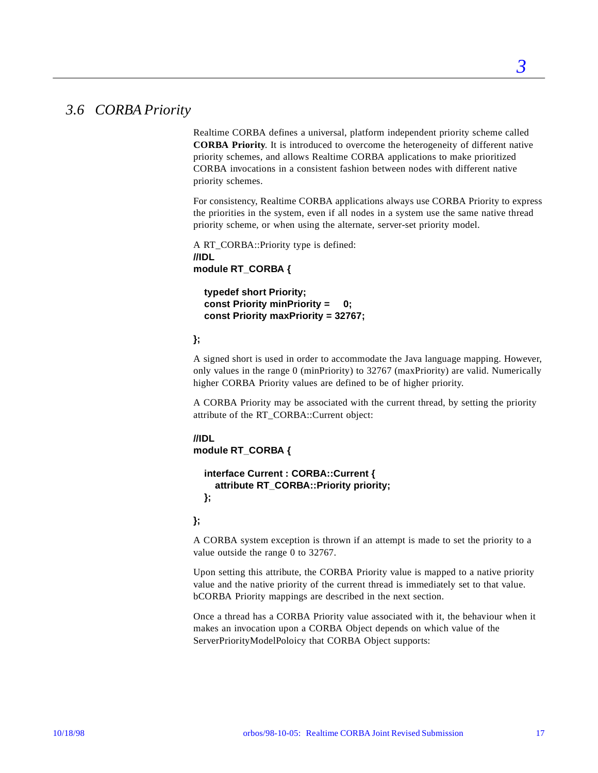## *3.6 CORBA Priority*

Realtime CORBA defines a universal, platform independent priority scheme called **CORBA Priority**. It is introduced to overcome the heterogeneity of different native priority schemes, and allows Realtime CORBA applications to make prioritized CORBA invocations in a consistent fashion between nodes with different native priority schemes.

For consistency, Realtime CORBA applications always use CORBA Priority to express the priorities in the system, even if all nodes in a system use the same native thread priority scheme, or when using the alternate, server-set priority model.

A RT\_CORBA::Priority type is defined: **//IDL module RT\_CORBA {**

 **typedef short Priority; const Priority minPriority = 0; const Priority maxPriority = 32767;**

### **};**

A signed short is used in order to accommodate the Java language mapping. However, only values in the range 0 (minPriority) to 32767 (maxPriority) are valid. Numerically higher CORBA Priority values are defined to be of higher priority.

A CORBA Priority may be associated with the current thread, by setting the priority attribute of the RT\_CORBA::Current object:

**//IDL module RT\_CORBA {**

```
 interface Current : CORBA::Current {
   attribute RT_CORBA::Priority priority;
 };
```
**};**

A CORBA system exception is thrown if an attempt is made to set the priority to a value outside the range 0 to 32767.

Upon setting this attribute, the CORBA Priority value is mapped to a native priority value and the native priority of the current thread is immediately set to that value. bCORBA Priority mappings are described in the next section.

Once a thread has a CORBA Priority value associated with it, the behaviour when it makes an invocation upon a CORBA Object depends on which value of the ServerPriorityModelPoloicy that CORBA Object supports: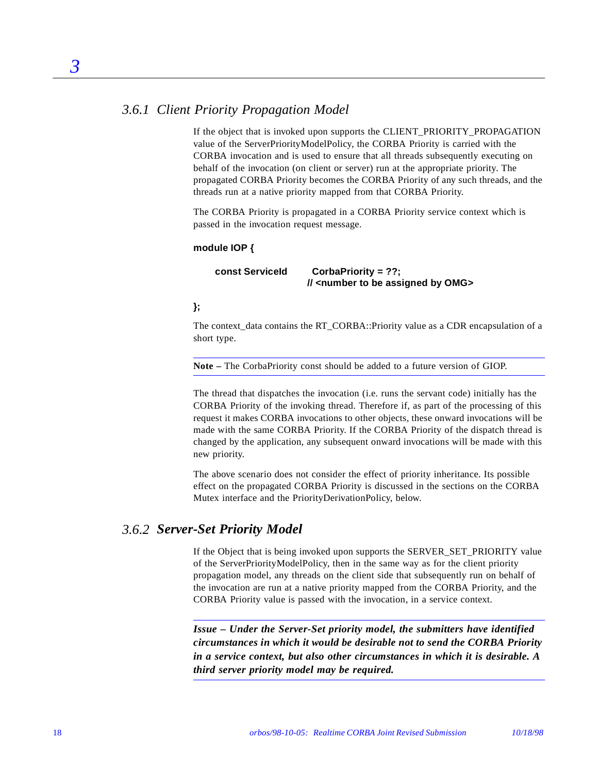## *3.6.1 Client Priority Propagation Model*

If the object that is invoked upon supports the CLIENT\_PRIORITY\_PROPAGATION value of the ServerPriorityModelPolicy, the CORBA Priority is carried with the CORBA invocation and is used to ensure that all threads subsequently executing on behalf of the invocation (on client or server) run at the appropriate priority. The propagated CORBA Priority becomes the CORBA Priority of any such threads, and the threads run at a native priority mapped from that CORBA Priority.

The CORBA Priority is propagated in a CORBA Priority service context which is passed in the invocation request message.

#### **module IOP {**

 **const ServiceId CorbaPriority = ??; // <number to be assigned by OMG>**

### **};**

The context\_data contains the RT\_CORBA::Priority value as a CDR encapsulation of a short type.

**Note –** The CorbaPriority const should be added to a future version of GIOP.

The thread that dispatches the invocation (i.e. runs the servant code) initially has the CORBA Priority of the invoking thread. Therefore if, as part of the processing of this request it makes CORBA invocations to other objects, these onward invocations will be made with the same CORBA Priority. If the CORBA Priority of the dispatch thread is changed by the application, any subsequent onward invocations will be made with this new priority.

The above scenario does not consider the effect of priority inheritance. Its possible effect on the propagated CORBA Priority is discussed in the sections on the CORBA Mutex interface and the PriorityDerivationPolicy, below.

### *3.6.2 Server-Set Priority Model*

If the Object that is being invoked upon supports the SERVER\_SET\_PRIORITY value of the ServerPriorityModelPolicy, then in the same way as for the client priority propagation model, any threads on the client side that subsequently run on behalf of the invocation are run at a native priority mapped from the CORBA Priority, and the CORBA Priority value is passed with the invocation, in a service context.

*Issue – Under the Server-Set priority model, the submitters have identified circumstances in which it would be desirable not to send the CORBA Priority in a service context, but also other circumstances in which it is desirable. A third server priority model may be required.*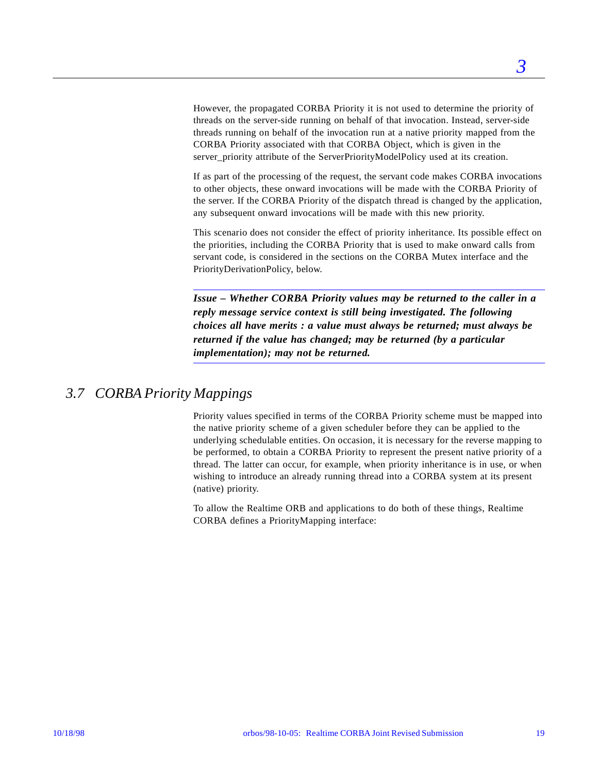However, the propagated CORBA Priority it is not used to determine the priority of threads on the server-side running on behalf of that invocation. Instead, server-side threads running on behalf of the invocation run at a native priority mapped from the CORBA Priority associated with that CORBA Object, which is given in the server\_priority attribute of the ServerPriorityModelPolicy used at its creation.

If as part of the processing of the request, the servant code makes CORBA invocations to other objects, these onward invocations will be made with the CORBA Priority of the server. If the CORBA Priority of the dispatch thread is changed by the application, any subsequent onward invocations will be made with this new priority.

This scenario does not consider the effect of priority inheritance. Its possible effect on the priorities, including the CORBA Priority that is used to make onward calls from servant code, is considered in the sections on the CORBA Mutex interface and the PriorityDerivationPolicy, below.

*Issue – Whether CORBA Priority values may be returned to the caller in a reply message service context is still being investigated. The following choices all have merits : a value must always be returned; must always be returned if the value has changed; may be returned (by a particular implementation); may not be returned.*

## *3.7 CORBA Priority Mappings*

Priority values specified in terms of the CORBA Priority scheme must be mapped into the native priority scheme of a given scheduler before they can be applied to the underlying schedulable entities. On occasion, it is necessary for the reverse mapping to be performed, to obtain a CORBA Priority to represent the present native priority of a thread. The latter can occur, for example, when priority inheritance is in use, or when wishing to introduce an already running thread into a CORBA system at its present (native) priority.

To allow the Realtime ORB and applications to do both of these things, Realtime CORBA defines a PriorityMapping interface: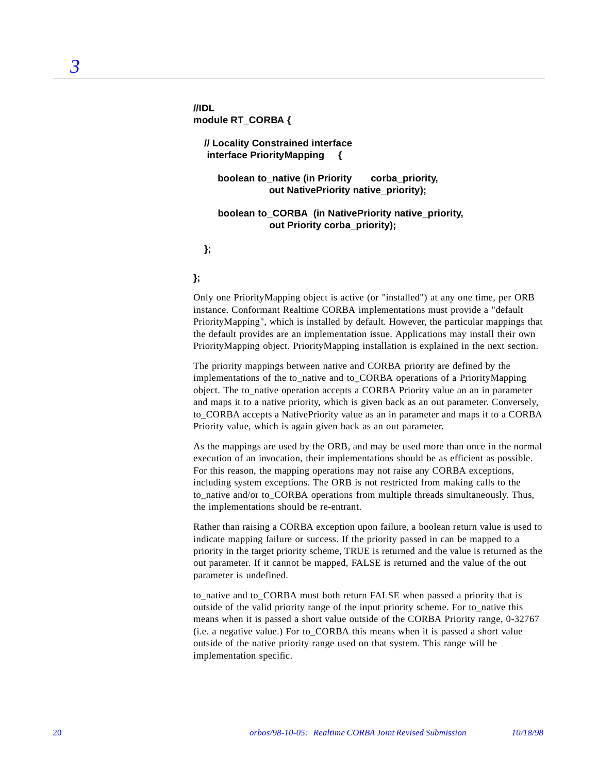**//IDL module RT\_CORBA {**

> **// Locality Constrained interface interface PriorityMapping {**

 **boolean to\_native (in Priority corba\_priority, out NativePriority native\_priority);**

 **boolean to\_CORBA (in NativePriority native\_priority, out Priority corba\_priority);**

 **};** 

#### **};**

Only one PriorityMapping object is active (or "installed") at any one time, per ORB instance. Conformant Realtime CORBA implementations must provide a "default PriorityMapping", which is installed by default. However, the particular mappings that the default provides are an implementation issue. Applications may install their own PriorityMapping object. PriorityMapping installation is explained in the next section.

The priority mappings between native and CORBA priority are defined by the implementations of the to\_native and to\_CORBA operations of a PriorityMapping object. The to\_native operation accepts a CORBA Priority value an an in parameter and maps it to a native priority, which is given back as an out parameter. Conversely, to\_CORBA accepts a NativePriority value as an in parameter and maps it to a CORBA Priority value, which is again given back as an out parameter.

As the mappings are used by the ORB, and may be used more than once in the normal execution of an invocation, their implementations should be as efficient as possible. For this reason, the mapping operations may not raise any CORBA exceptions, including system exceptions. The ORB is not restricted from making calls to the to\_native and/or to\_CORBA operations from multiple threads simultaneously. Thus, the implementations should be re-entrant.

Rather than raising a CORBA exception upon failure, a boolean return value is used to indicate mapping failure or success. If the priority passed in can be mapped to a priority in the target priority scheme, TRUE is returned and the value is returned as the out parameter. If it cannot be mapped, FALSE is returned and the value of the out parameter is undefined.

to native and to CORBA must both return FALSE when passed a priority that is outside of the valid priority range of the input priority scheme. For to\_native this means when it is passed a short value outside of the CORBA Priority range, 0-32767 (i.e. a negative value.) For to\_CORBA this means when it is passed a short value outside of the native priority range used on that system. This range will be implementation specific.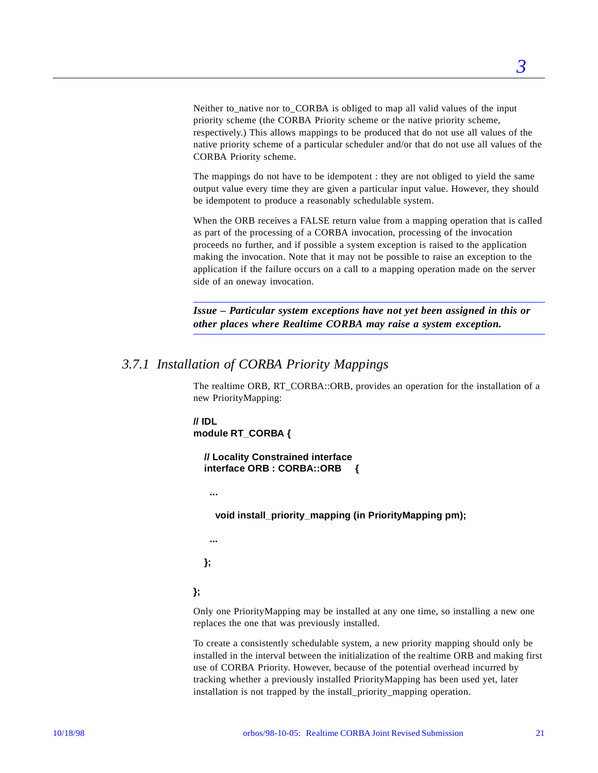Neither to native nor to CORBA is obliged to map all valid values of the input priority scheme (the CORBA Priority scheme or the native priority scheme, respectively.) This allows mappings to be produced that do not use all values of the native priority scheme of a particular scheduler and/or that do not use all values of the CORBA Priority scheme.

The mappings do not have to be idempotent : they are not obliged to yield the same output value every time they are given a particular input value. However, they should be idempotent to produce a reasonably schedulable system.

When the ORB receives a FALSE return value from a mapping operation that is called as part of the processing of a CORBA invocation, processing of the invocation proceeds no further, and if possible a system exception is raised to the application making the invocation. Note that it may not be possible to raise an exception to the application if the failure occurs on a call to a mapping operation made on the server side of an oneway invocation.

*Issue – Particular system exceptions have not yet been assigned in this or other places where Realtime CORBA may raise a system exception.*

### *3.7.1 Installation of CORBA Priority Mappings*

The realtime ORB, RT\_CORBA::ORB, provides an operation for the installation of a new PriorityMapping:

**// IDL module RT\_CORBA {**

> **// Locality Constrained interface interface ORB : CORBA::ORB {**

 **...**

 **void install\_priority\_mapping (in PriorityMapping pm);**

 **...**

 **};**

**};**

Only one PriorityMapping may be installed at any one time, so installing a new one replaces the one that was previously installed.

To create a consistently schedulable system, a new priority mapping should only be installed in the interval between the initialization of the realtime ORB and making first use of CORBA Priority. However, because of the potential overhead incurred by tracking whether a previously installed PriorityMapping has been used yet, later installation is not trapped by the install\_priority\_mapping operation.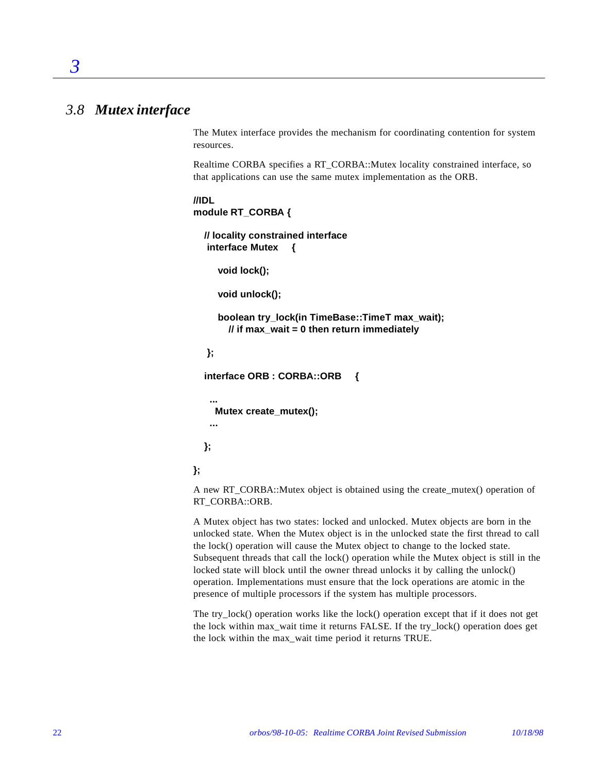## *3.8 Mutex interface*

*3*

The Mutex interface provides the mechanism for coordinating contention for system resources.

Realtime CORBA specifies a RT\_CORBA::Mutex locality constrained interface, so that applications can use the same mutex implementation as the ORB.

#### **//IDL module RT\_CORBA {**

```
 // locality constrained interface
 interface Mutex {
```
 **void lock();**

```
 void unlock();
```
 **boolean try\_lock(in TimeBase::TimeT max\_wait); // if max\_wait = 0 then return immediately**

```
 };
```
 **interface ORB : CORBA::ORB {**

 **... Mutex create\_mutex();**

 **...**

 **};**

**};**

A new RT\_CORBA::Mutex object is obtained using the create\_mutex() operation of RT\_CORBA::ORB.

A Mutex object has two states: locked and unlocked. Mutex objects are born in the unlocked state. When the Mutex object is in the unlocked state the first thread to call the lock() operation will cause the Mutex object to change to the locked state. Subsequent threads that call the lock() operation while the Mutex object is still in the locked state will block until the owner thread unlocks it by calling the unlock() operation. Implementations must ensure that the lock operations are atomic in the presence of multiple processors if the system has multiple processors.

The try\_lock() operation works like the lock() operation except that if it does not get the lock within max\_wait time it returns FALSE. If the try\_lock() operation does get the lock within the max\_wait time period it returns TRUE.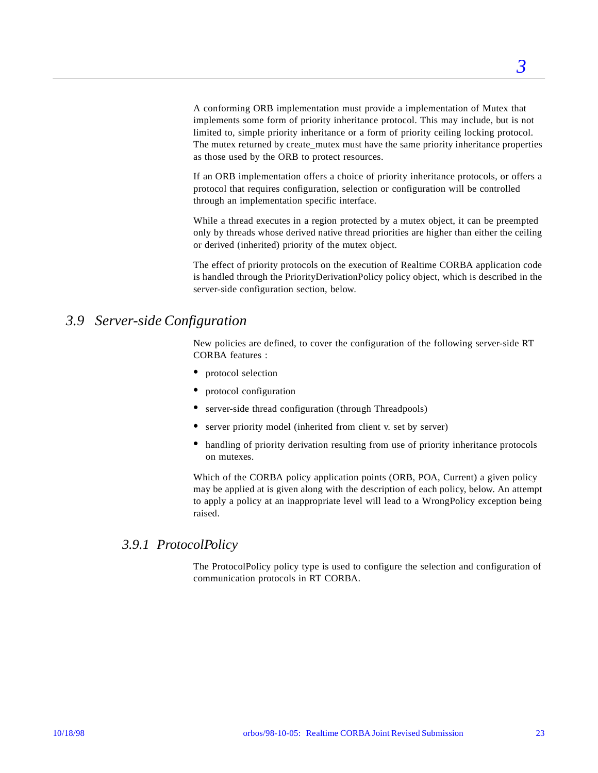A conforming ORB implementation must provide a implementation of Mutex that implements some form of priority inheritance protocol. This may include, but is not limited to, simple priority inheritance or a form of priority ceiling locking protocol. The mutex returned by create mutex must have the same priority inheritance properties as those used by the ORB to protect resources.

If an ORB implementation offers a choice of priority inheritance protocols, or offers a protocol that requires configuration, selection or configuration will be controlled through an implementation specific interface.

While a thread executes in a region protected by a mutex object, it can be preempted only by threads whose derived native thread priorities are higher than either the ceiling or derived (inherited) priority of the mutex object.

The effect of priority protocols on the execution of Realtime CORBA application code is handled through the PriorityDerivationPolicy policy object, which is described in the server-side configuration section, below.

## *3.9 Server-side Configuration*

New policies are defined, to cover the configuration of the following server-side RT CORBA features :

- **•** protocol selection
- **•** protocol configuration
- server-side thread configuration (through Threadpools)
- server priority model (inherited from client v. set by server)
- handling of priority derivation resulting from use of priority inheritance protocols on mutexes.

Which of the CORBA policy application points (ORB, POA, Current) a given policy may be applied at is given along with the description of each policy, below. An attempt to apply a policy at an inappropriate level will lead to a WrongPolicy exception being raised.

### *3.9.1 ProtocolPolicy*

The ProtocolPolicy policy type is used to configure the selection and configuration of communication protocols in RT CORBA.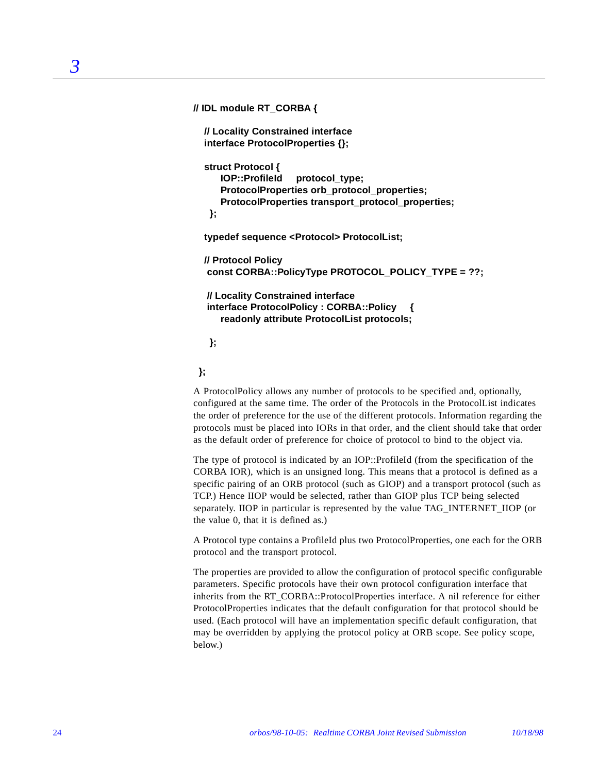**// IDL module RT\_CORBA { // Locality Constrained interface interface ProtocolProperties {}; struct Protocol { IOP::ProfileId protocol\_type; ProtocolProperties orb\_protocol\_properties; ProtocolProperties transport\_protocol\_properties; }; typedef sequence <Protocol> ProtocolList; // Protocol Policy const CORBA::PolicyType PROTOCOL\_POLICY\_TYPE = ??; // Locality Constrained interface interface ProtocolPolicy : CORBA::Policy { readonly attribute ProtocolList protocols;**

 **};**

 **};**

A ProtocolPolicy allows any number of protocols to be specified and, optionally, configured at the same time. The order of the Protocols in the ProtocolList indicates the order of preference for the use of the different protocols. Information regarding the protocols must be placed into IORs in that order, and the client should take that order as the default order of preference for choice of protocol to bind to the object via.

The type of protocol is indicated by an IOP::ProfileId (from the specification of the CORBA IOR), which is an unsigned long. This means that a protocol is defined as a specific pairing of an ORB protocol (such as GIOP) and a transport protocol (such as TCP.) Hence IIOP would be selected, rather than GIOP plus TCP being selected separately. IIOP in particular is represented by the value TAG\_INTERNET\_IIOP (or the value 0, that it is defined as.)

A Protocol type contains a ProfileId plus two ProtocolProperties, one each for the ORB protocol and the transport protocol.

The properties are provided to allow the configuration of protocol specific configurable parameters. Specific protocols have their own protocol configuration interface that inherits from the RT\_CORBA::ProtocolProperties interface. A nil reference for either ProtocolProperties indicates that the default configuration for that protocol should be used. (Each protocol will have an implementation specific default configuration, that may be overridden by applying the protocol policy at ORB scope. See policy scope, below.)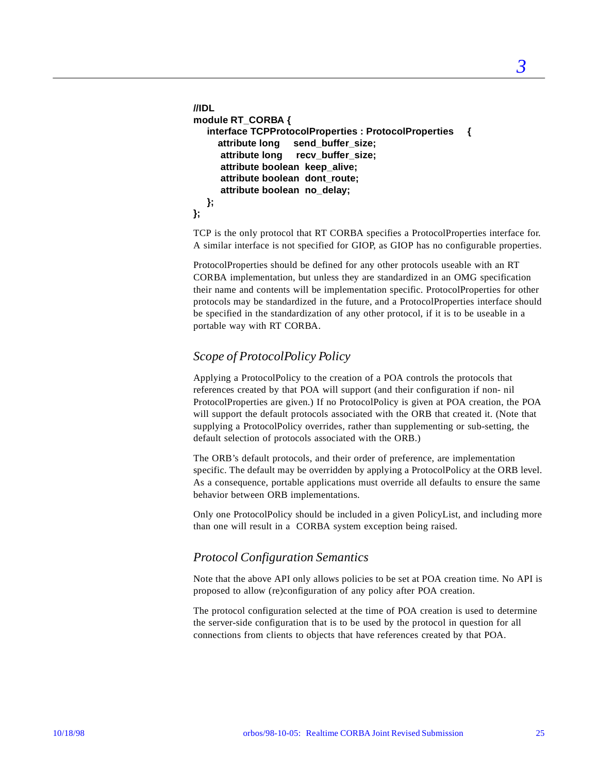```
//IDL 
module RT_CORBA {
    interface TCPProtocolProperties : ProtocolProperties {
      attribute long send_buffer_size;
      attribute long recv_buffer_size;
      attribute boolean keep_alive;
      attribute boolean dont_route;
      attribute boolean no_delay;
   };
};
```
TCP is the only protocol that RT CORBA specifies a ProtocolProperties interface for. A similar interface is not specified for GIOP, as GIOP has no configurable properties.

ProtocolProperties should be defined for any other protocols useable with an RT CORBA implementation, but unless they are standardized in an OMG specification their name and contents will be implementation specific. ProtocolProperties for other protocols may be standardized in the future, and a ProtocolProperties interface should be specified in the standardization of any other protocol, if it is to be useable in a portable way with RT CORBA.

### *Scope of ProtocolPolicy Policy*

Applying a ProtocolPolicy to the creation of a POA controls the protocols that references created by that POA will support (and their configuration if non- nil ProtocolProperties are given.) If no ProtocolPolicy is given at POA creation, the POA will support the default protocols associated with the ORB that created it. (Note that supplying a ProtocolPolicy overrides, rather than supplementing or sub-setting, the default selection of protocols associated with the ORB.)

The ORB's default protocols, and their order of preference, are implementation specific. The default may be overridden by applying a ProtocolPolicy at the ORB level. As a consequence, portable applications must override all defaults to ensure the same behavior between ORB implementations.

Only one ProtocolPolicy should be included in a given PolicyList, and including more than one will result in a CORBA system exception being raised.

### *Protocol Configuration Semantics*

Note that the above API only allows policies to be set at POA creation time. No API is proposed to allow (re)configuration of any policy after POA creation.

The protocol configuration selected at the time of POA creation is used to determine the server-side configuration that is to be used by the protocol in question for all connections from clients to objects that have references created by that POA.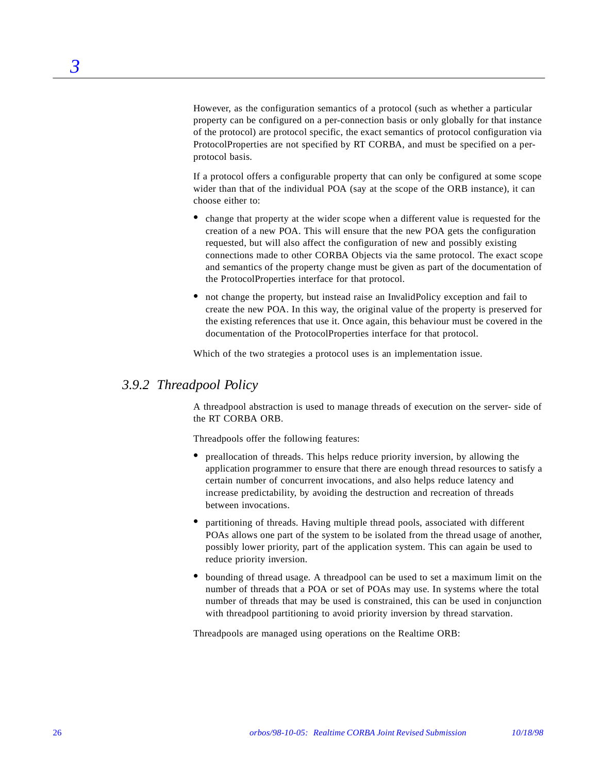However, as the configuration semantics of a protocol (such as whether a particular property can be configured on a per-connection basis or only globally for that instance of the protocol) are protocol specific, the exact semantics of protocol configuration via ProtocolProperties are not specified by RT CORBA, and must be specified on a perprotocol basis.

If a protocol offers a configurable property that can only be configured at some scope wider than that of the individual POA (say at the scope of the ORB instance), it can choose either to:

- change that property at the wider scope when a different value is requested for the creation of a new POA. This will ensure that the new POA gets the configuration requested, but will also affect the configuration of new and possibly existing connections made to other CORBA Objects via the same protocol. The exact scope and semantics of the property change must be given as part of the documentation of the ProtocolProperties interface for that protocol.
- not change the property, but instead raise an InvalidPolicy exception and fail to create the new POA. In this way, the original value of the property is preserved for the existing references that use it. Once again, this behaviour must be covered in the documentation of the ProtocolProperties interface for that protocol.

Which of the two strategies a protocol uses is an implementation issue.

### *3.9.2 Threadpool Policy*

A threadpool abstraction is used to manage threads of execution on the server- side of the RT CORBA ORB.

Threadpools offer the following features:

- **•** preallocation of threads. This helps reduce priority inversion, by allowing the application programmer to ensure that there are enough thread resources to satisfy a certain number of concurrent invocations, and also helps reduce latency and increase predictability, by avoiding the destruction and recreation of threads between invocations.
- **•** partitioning of threads. Having multiple thread pools, associated with different POAs allows one part of the system to be isolated from the thread usage of another, possibly lower priority, part of the application system. This can again be used to reduce priority inversion.
- **•** bounding of thread usage. A threadpool can be used to set a maximum limit on the number of threads that a POA or set of POAs may use. In systems where the total number of threads that may be used is constrained, this can be used in conjunction with threadpool partitioning to avoid priority inversion by thread starvation.

Threadpools are managed using operations on the Realtime ORB: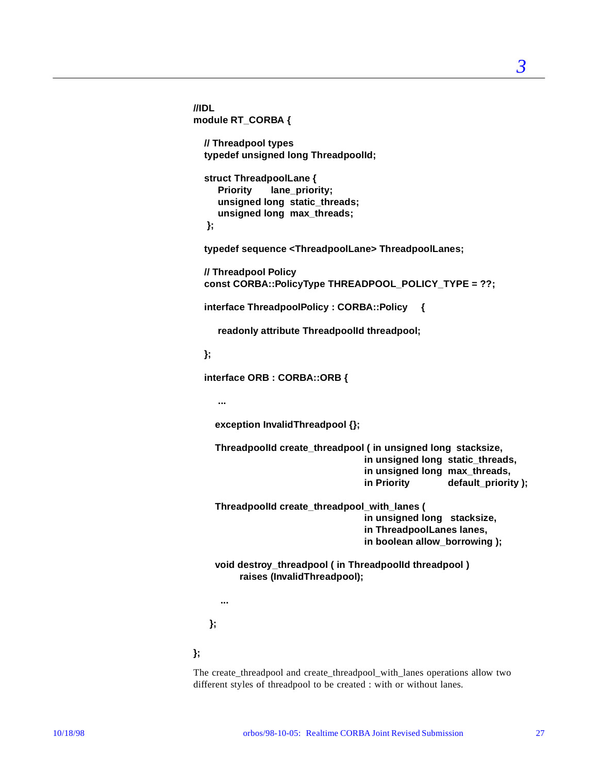```
//IDL 
module RT_CORBA {
   // Threadpool types
   typedef unsigned long ThreadpoolId;
   struct ThreadpoolLane {
      Priority lane_priority;
      unsigned long static_threads;
      unsigned long max_threads;
   };
   typedef sequence <ThreadpoolLane> ThreadpoolLanes;
   // Threadpool Policy
   const CORBA::PolicyType THREADPOOL_POLICY_TYPE = ??;
   interface ThreadpoolPolicy : CORBA::Policy {
      readonly attribute ThreadpoolId threadpool;
   };
   interface ORB : CORBA::ORB {
      ...
     exception InvalidThreadpool {};
     ThreadpoolId create_threadpool ( in unsigned long stacksize,
                                     in unsigned long static_threads,
                                     in unsigned long max_threads,
                                     in Priority default_priority );
     ThreadpoolId create_threadpool_with_lanes (
                                     in unsigned long stacksize,
                                     in ThreadpoolLanes lanes,
                                     in boolean allow_borrowing );
     void destroy_threadpool ( in ThreadpoolId threadpool )
          raises (InvalidThreadpool);
      ...
    };
```
The create threadpool and create threadpool with lanes operations allow two different styles of threadpool to be created : with or without lanes.

**};**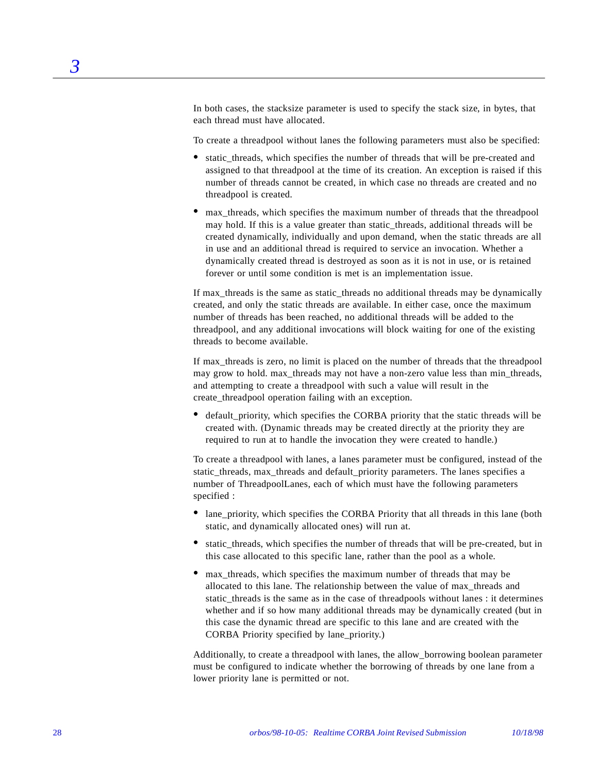In both cases, the stacksize parameter is used to specify the stack size, in bytes, that each thread must have allocated.

To create a threadpool without lanes the following parameters must also be specified:

- static threads, which specifies the number of threads that will be pre-created and assigned to that threadpool at the time of its creation. An exception is raised if this number of threads cannot be created, in which case no threads are created and no threadpool is created.
- **•** max\_threads, which specifies the maximum number of threads that the threadpool may hold. If this is a value greater than static\_threads, additional threads will be created dynamically, individually and upon demand, when the static threads are all in use and an additional thread is required to service an invocation. Whether a dynamically created thread is destroyed as soon as it is not in use, or is retained forever or until some condition is met is an implementation issue.

If max\_threads is the same as static\_threads no additional threads may be dynamically created, and only the static threads are available. In either case, once the maximum number of threads has been reached, no additional threads will be added to the threadpool, and any additional invocations will block waiting for one of the existing threads to become available.

If max threads is zero, no limit is placed on the number of threads that the threadpool may grow to hold. max\_threads may not have a non-zero value less than min\_threads, and attempting to create a threadpool with such a value will result in the create\_threadpool operation failing with an exception.

**•** default\_priority, which specifies the CORBA priority that the static threads will be created with. (Dynamic threads may be created directly at the priority they are required to run at to handle the invocation they were created to handle.)

To create a threadpool with lanes, a lanes parameter must be configured, instead of the static threads, max threads and default priority parameters. The lanes specifies a number of ThreadpoolLanes, each of which must have the following parameters specified :

- lane\_priority, which specifies the CORBA Priority that all threads in this lane (both static, and dynamically allocated ones) will run at.
- static threads, which specifies the number of threads that will be pre-created, but in this case allocated to this specific lane, rather than the pool as a whole.
- **•** max\_threads, which specifies the maximum number of threads that may be allocated to this lane. The relationship between the value of max\_threads and static\_threads is the same as in the case of threadpools without lanes : it determines whether and if so how many additional threads may be dynamically created (but in this case the dynamic thread are specific to this lane and are created with the CORBA Priority specified by lane\_priority.)

Additionally, to create a threadpool with lanes, the allow\_borrowing boolean parameter must be configured to indicate whether the borrowing of threads by one lane from a lower priority lane is permitted or not.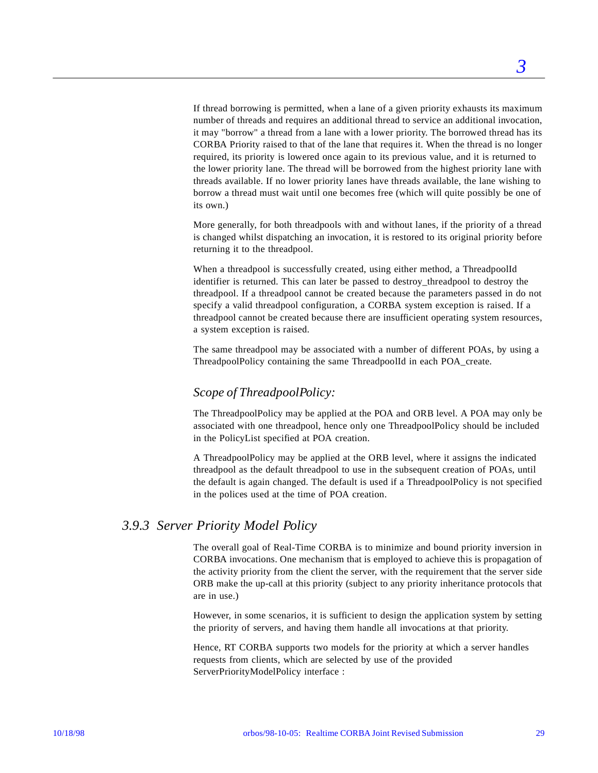If thread borrowing is permitted, when a lane of a given priority exhausts its maximum number of threads and requires an additional thread to service an additional invocation, it may "borrow" a thread from a lane with a lower priority. The borrowed thread has its CORBA Priority raised to that of the lane that requires it. When the thread is no longer required, its priority is lowered once again to its previous value, and it is returned to the lower priority lane. The thread will be borrowed from the highest priority lane with threads available. If no lower priority lanes have threads available, the lane wishing to borrow a thread must wait until one becomes free (which will quite possibly be one of its own.)

More generally, for both threadpools with and without lanes, if the priority of a thread is changed whilst dispatching an invocation, it is restored to its original priority before returning it to the threadpool.

When a threadpool is successfully created, using either method, a ThreadpoolId identifier is returned. This can later be passed to destroy\_threadpool to destroy the threadpool. If a threadpool cannot be created because the parameters passed in do not specify a valid threadpool configuration, a CORBA system exception is raised. If a threadpool cannot be created because there are insufficient operating system resources, a system exception is raised.

The same threadpool may be associated with a number of different POAs, by using a ThreadpoolPolicy containing the same ThreadpoolId in each POA\_create.

### *Scope of ThreadpoolPolicy:*

The ThreadpoolPolicy may be applied at the POA and ORB level. A POA may only be associated with one threadpool, hence only one ThreadpoolPolicy should be included in the PolicyList specified at POA creation.

A ThreadpoolPolicy may be applied at the ORB level, where it assigns the indicated threadpool as the default threadpool to use in the subsequent creation of POAs, until the default is again changed. The default is used if a ThreadpoolPolicy is not specified in the polices used at the time of POA creation.

### *3.9.3 Server Priority Model Policy*

The overall goal of Real-Time CORBA is to minimize and bound priority inversion in CORBA invocations. One mechanism that is employed to achieve this is propagation of the activity priority from the client the server, with the requirement that the server side ORB make the up-call at this priority (subject to any priority inheritance protocols that are in use.)

However, in some scenarios, it is sufficient to design the application system by setting the priority of servers, and having them handle all invocations at that priority.

Hence, RT CORBA supports two models for the priority at which a server handles requests from clients, which are selected by use of the provided ServerPriorityModelPolicy interface :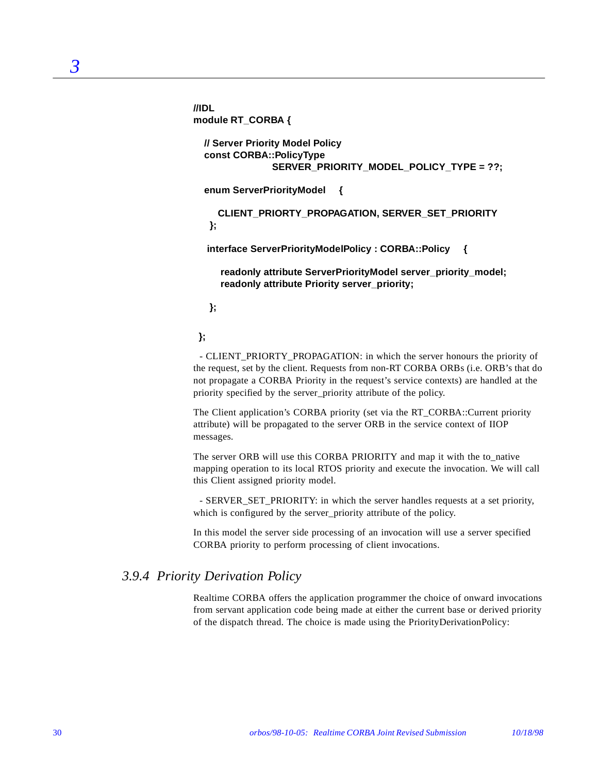**//IDL module RT\_CORBA {**

```
 // Server Priority Model Policy
 const CORBA::PolicyType
              SERVER_PRIORITY_MODEL_POLICY_TYPE = ??;
```
 **enum ServerPriorityModel {**

 **CLIENT\_PRIORTY\_PROPAGATION, SERVER\_SET\_PRIORITY };**

 **interface ServerPriorityModelPolicy : CORBA::Policy {**

 **readonly attribute ServerPriorityModel server\_priority\_model; readonly attribute Priority server\_priority;**

 **};**

 **};**

- CLIENT\_PRIORTY\_PROPAGATION: in which the server honours the priority of the request, set by the client. Requests from non-RT CORBA ORBs (i.e. ORB's that do not propagate a CORBA Priority in the request's service contexts) are handled at the priority specified by the server\_priority attribute of the policy.

The Client application's CORBA priority (set via the RT\_CORBA::Current priority attribute) will be propagated to the server ORB in the service context of IIOP messages.

The server ORB will use this CORBA PRIORITY and map it with the to\_native mapping operation to its local RTOS priority and execute the invocation. We will call this Client assigned priority model.

- SERVER\_SET\_PRIORITY: in which the server handles requests at a set priority, which is configured by the server priority attribute of the policy.

In this model the server side processing of an invocation will use a server specified CORBA priority to perform processing of client invocations.

### *3.9.4 Priority Derivation Policy*

Realtime CORBA offers the application programmer the choice of onward invocations from servant application code being made at either the current base or derived priority of the dispatch thread. The choice is made using the PriorityDerivationPolicy: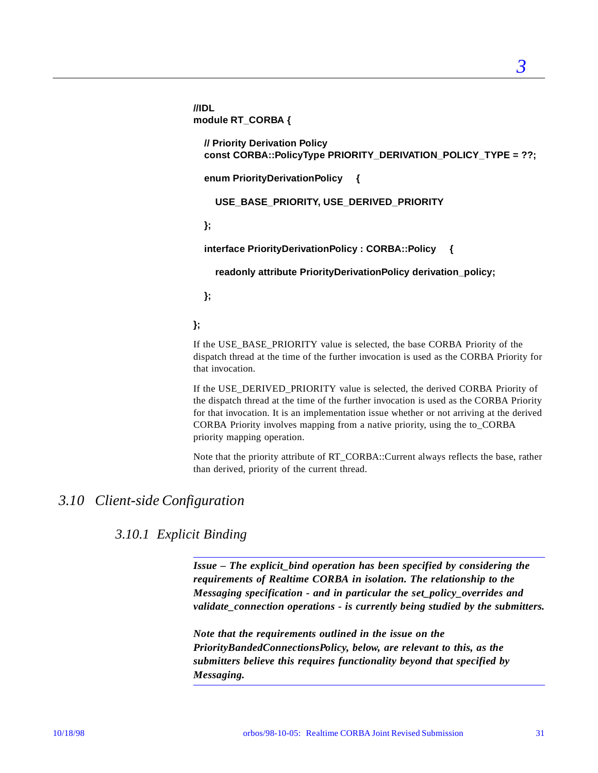**//IDL module RT\_CORBA { // Priority Derivation Policy const CORBA::PolicyType PRIORITY\_DERIVATION\_POLICY\_TYPE = ??;**

 **enum PriorityDerivationPolicy {**

 **USE\_BASE\_PRIORITY, USE\_DERIVED\_PRIORITY**

 **};**

 **interface PriorityDerivationPolicy : CORBA::Policy {**

 **readonly attribute PriorityDerivationPolicy derivation\_policy;**

 **};**

**};**

If the USE\_BASE\_PRIORITY value is selected, the base CORBA Priority of the dispatch thread at the time of the further invocation is used as the CORBA Priority for that invocation.

If the USE\_DERIVED\_PRIORITY value is selected, the derived CORBA Priority of the dispatch thread at the time of the further invocation is used as the CORBA Priority for that invocation. It is an implementation issue whether or not arriving at the derived CORBA Priority involves mapping from a native priority, using the to\_CORBA priority mapping operation.

Note that the priority attribute of RT\_CORBA::Current always reflects the base, rather than derived, priority of the current thread.

## *3.10 Client-side Configuration*

## *3.10.1 Explicit Binding*

*Issue – The explicit\_bind operation has been specified by considering the requirements of Realtime CORBA in isolation. The relationship to the Messaging specification - and in particular the set\_policy\_overrides and validate\_connection operations - is currently being studied by the submitters.*

*Note that the requirements outlined in the issue on the PriorityBandedConnectionsPolicy, below, are relevant to this, as the submitters believe this requires functionality beyond that specified by Messaging.*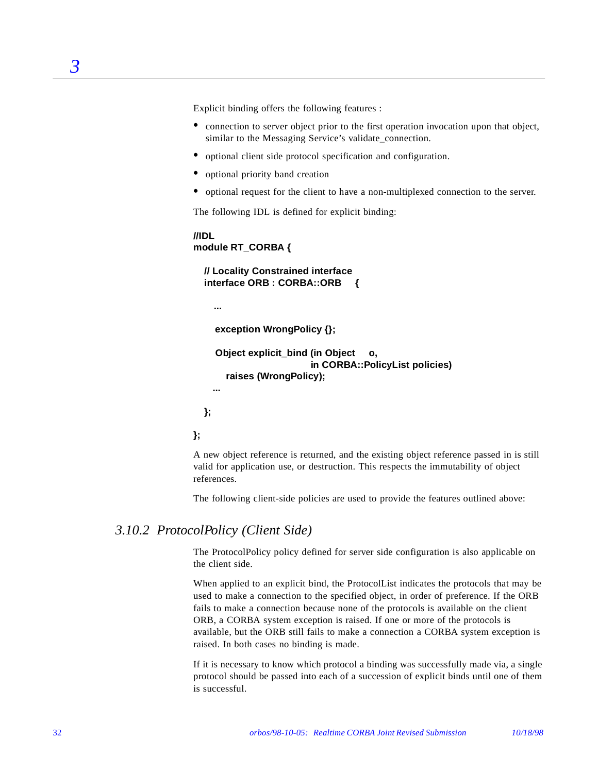Explicit binding offers the following features :

- connection to server object prior to the first operation invocation upon that object, similar to the Messaging Service's validate\_connection.
- **•** optional client side protocol specification and configuration.
- optional priority band creation
- **•** optional request for the client to have a non-multiplexed connection to the server.

The following IDL is defined for explicit binding:

```
//IDL
module RT_CORBA {
```
 **// Locality Constrained interface interface ORB : CORBA::ORB {**

 **...**

```
 exception WrongPolicy {};
```

```
 Object explicit_bind (in Object o,
                       in CORBA::PolicyList policies)
   raises (WrongPolicy);
 ...
```
 **};**

**};**

A new object reference is returned, and the existing object reference passed in is still valid for application use, or destruction. This respects the immutability of object references.

The following client-side policies are used to provide the features outlined above:

### *3.10.2 ProtocolPolicy (Client Side)*

The ProtocolPolicy policy defined for server side configuration is also applicable on the client side.

When applied to an explicit bind, the ProtocolList indicates the protocols that may be used to make a connection to the specified object, in order of preference. If the ORB fails to make a connection because none of the protocols is available on the client ORB, a CORBA system exception is raised. If one or more of the protocols is available, but the ORB still fails to make a connection a CORBA system exception is raised. In both cases no binding is made.

If it is necessary to know which protocol a binding was successfully made via, a single protocol should be passed into each of a succession of explicit binds until one of them is successful.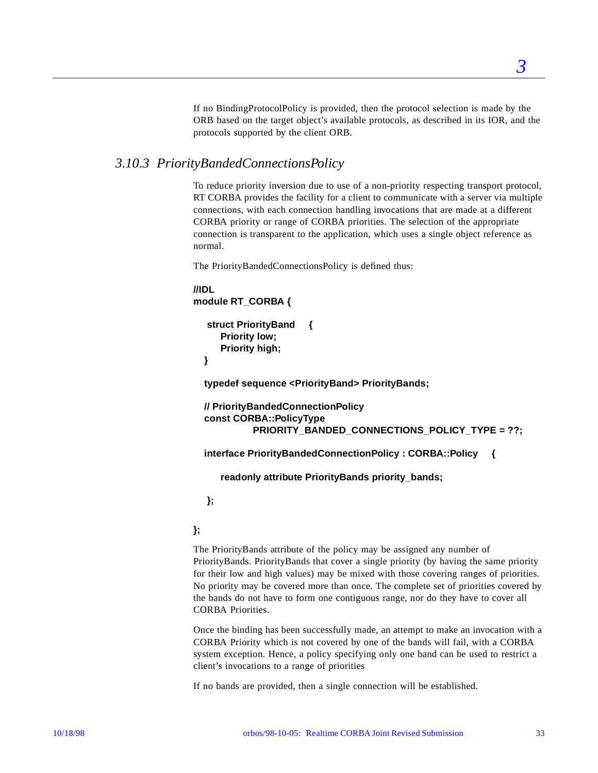If no BindingProtocolPolicy is provided, then the protocol selection is made by the ORB based on the target object's available protocols, as described in its IOR, and the protocols supported by the client ORB.

### *3.10.3 PriorityBandedConnectionsPolicy*

To reduce priority inversion due to use of a non-priority respecting transport protocol, RT CORBA provides the facility for a client to communicate with a server via multiple connections, with each connection handling invocations that are made at a different CORBA priority or range of CORBA priorities. The selection of the appropriate connection is transparent to the application, which uses a single object reference as normal.

The PriorityBandedConnectionsPolicy is defined thus:

```
//IDL 
module RT_CORBA {
```

```
 struct PriorityBand {
    Priority low;
    Priority high;
```
 **}**

 **typedef sequence <PriorityBand> PriorityBands;**

```
 // PriorityBandedConnectionPolicy
 const CORBA::PolicyType 
          PRIORITY_BANDED_CONNECTIONS_POLICY_TYPE = ??;
```
 **interface PriorityBandedConnectionPolicy : CORBA::Policy {**

 **readonly attribute PriorityBands priority\_bands;**

 **};**

#### **};**

The PriorityBands attribute of the policy may be assigned any number of PriorityBands. PriorityBands that cover a single priority (by having the same priority for their low and high values) may be mixed with those covering ranges of priorities. No priority may be covered more than once. The complete set of priorities covered by the bands do not have to form one contiguous range, nor do they have to cover all CORBA Priorities.

Once the binding has been successfully made, an attempt to make an invocation with a CORBA Priority which is not covered by one of the bands will fail, with a CORBA system exception. Hence, a policy specifying only one band can be used to restrict a client's invocations to a range of priorities

If no bands are provided, then a single connection will be established.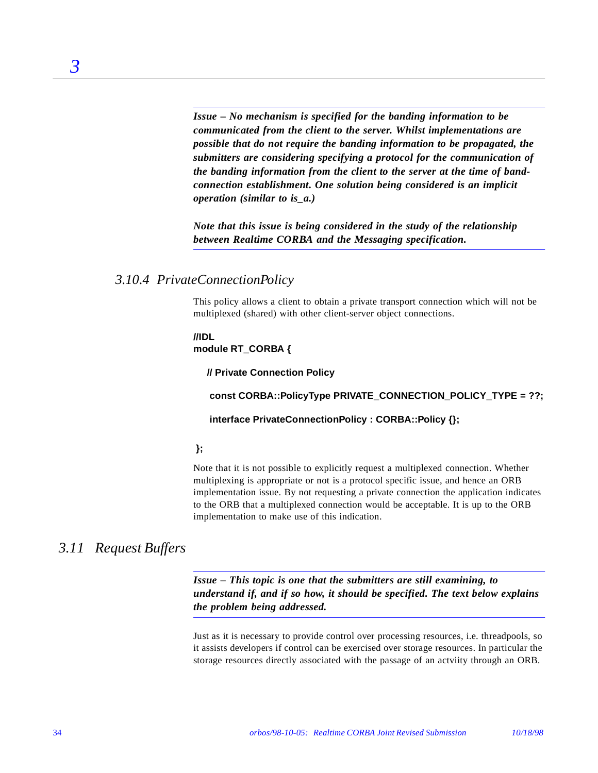*Issue – No mechanism is specified for the banding information to be communicated from the client to the server. Whilst implementations are possible that do not require the banding information to be propagated, the submitters are considering specifying a protocol for the communication of the banding information from the client to the server at the time of bandconnection establishment. One solution being considered is an implicit operation (similar to is\_a.)*

*Note that this issue is being considered in the study of the relationship between Realtime CORBA and the Messaging specification.*

### *3.10.4 PrivateConnectionPolicy*

This policy allows a client to obtain a private transport connection which will not be multiplexed (shared) with other client-server object connections.

**//IDL module RT\_CORBA {**

 **// Private Connection Policy**

 **const CORBA::PolicyType PRIVATE\_CONNECTION\_POLICY\_TYPE = ??;**

#### **interface PrivateConnectionPolicy : CORBA::Policy {};**

#### **};**

Note that it is not possible to explicitly request a multiplexed connection. Whether multiplexing is appropriate or not is a protocol specific issue, and hence an ORB implementation issue. By not requesting a private connection the application indicates to the ORB that a multiplexed connection would be acceptable. It is up to the ORB implementation to make use of this indication.

## *3.11 Request Buffers*

*3*

*Issue – This topic is one that the submitters are still examining, to understand if, and if so how, it should be specified. The text below explains the problem being addressed.*

Just as it is necessary to provide control over processing resources, i.e. threadpools, so it assists developers if control can be exercised over storage resources. In particular the storage resources directly associated with the passage of an actviity through an ORB.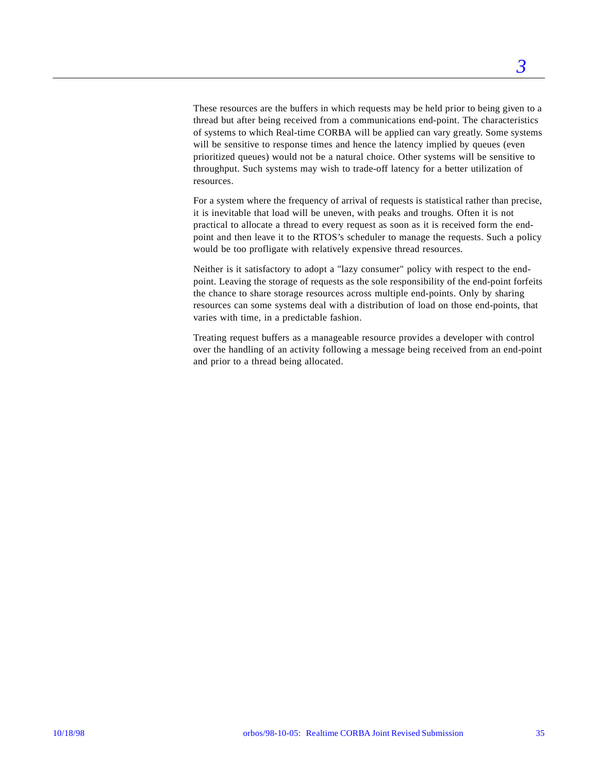These resources are the buffers in which requests may be held prior to being given to a thread but after being received from a communications end-point. The characteristics of systems to which Real-time CORBA will be applied can vary greatly. Some systems will be sensitive to response times and hence the latency implied by queues (even prioritized queues) would not be a natural choice. Other systems will be sensitive to throughput. Such systems may wish to trade-off latency for a better utilization of resources.

For a system where the frequency of arrival of requests is statistical rather than precise, it is inevitable that load will be uneven, with peaks and troughs. Often it is not practical to allocate a thread to every request as soon as it is received form the endpoint and then leave it to the RTOS's scheduler to manage the requests. Such a policy would be too profligate with relatively expensive thread resources.

Neither is it satisfactory to adopt a "lazy consumer" policy with respect to the endpoint. Leaving the storage of requests as the sole responsibility of the end-point forfeits the chance to share storage resources across multiple end-points. Only by sharing resources can some systems deal with a distribution of load on those end-points, that varies with time, in a predictable fashion.

Treating request buffers as a manageable resource provides a developer with control over the handling of an activity following a message being received from an end-point and prior to a thread being allocated.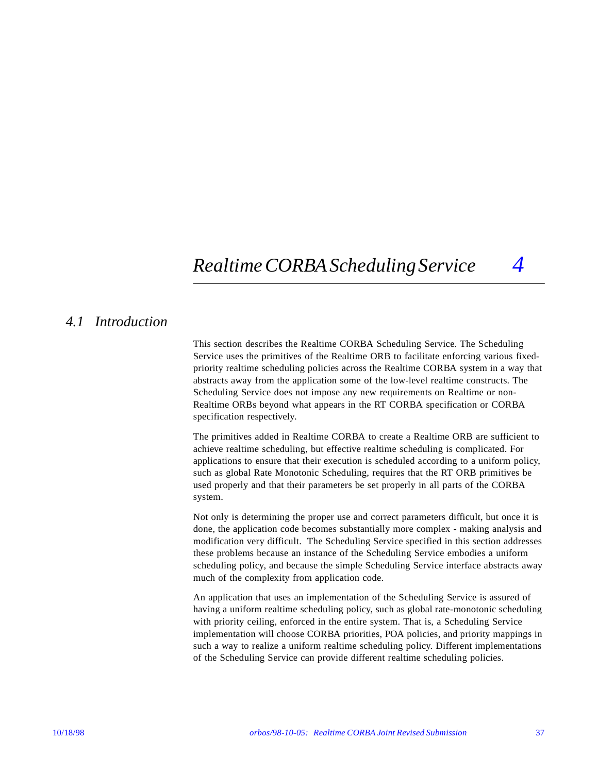# *Realtime CORBA Scheduling Service 4*

## *4.1 Introduction*

This section describes the Realtime CORBA Scheduling Service. The Scheduling Service uses the primitives of the Realtime ORB to facilitate enforcing various fixedpriority realtime scheduling policies across the Realtime CORBA system in a way that abstracts away from the application some of the low-level realtime constructs. The Scheduling Service does not impose any new requirements on Realtime or non-Realtime ORBs beyond what appears in the RT CORBA specification or CORBA specification respectively.

The primitives added in Realtime CORBA to create a Realtime ORB are sufficient to achieve realtime scheduling, but effective realtime scheduling is complicated. For applications to ensure that their execution is scheduled according to a uniform policy, such as global Rate Monotonic Scheduling, requires that the RT ORB primitives be used properly and that their parameters be set properly in all parts of the CORBA system.

Not only is determining the proper use and correct parameters difficult, but once it is done, the application code becomes substantially more complex - making analysis and modification very difficult. The Scheduling Service specified in this section addresses these problems because an instance of the Scheduling Service embodies a uniform scheduling policy, and because the simple Scheduling Service interface abstracts away much of the complexity from application code.

An application that uses an implementation of the Scheduling Service is assured of having a uniform realtime scheduling policy, such as global rate-monotonic scheduling with priority ceiling, enforced in the entire system. That is, a Scheduling Service implementation will choose CORBA priorities, POA policies, and priority mappings in such a way to realize a uniform realtime scheduling policy. Different implementations of the Scheduling Service can provide different realtime scheduling policies.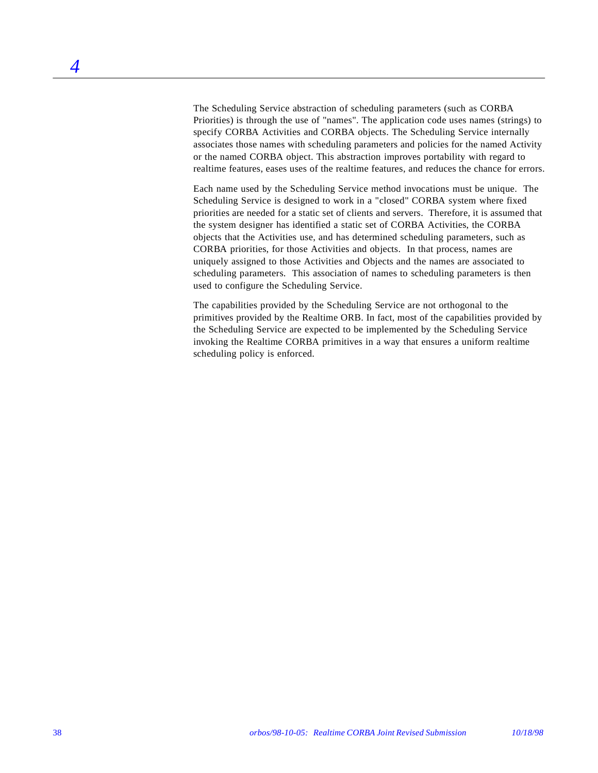The Scheduling Service abstraction of scheduling parameters (such as CORBA Priorities) is through the use of "names". The application code uses names (strings) to specify CORBA Activities and CORBA objects. The Scheduling Service internally associates those names with scheduling parameters and policies for the named Activity or the named CORBA object. This abstraction improves portability with regard to realtime features, eases uses of the realtime features, and reduces the chance for errors.

Each name used by the Scheduling Service method invocations must be unique. The Scheduling Service is designed to work in a "closed" CORBA system where fixed priorities are needed for a static set of clients and servers. Therefore, it is assumed that the system designer has identified a static set of CORBA Activities, the CORBA objects that the Activities use, and has determined scheduling parameters, such as CORBA priorities, for those Activities and objects. In that process, names are uniquely assigned to those Activities and Objects and the names are associated to scheduling parameters. This association of names to scheduling parameters is then used to configure the Scheduling Service.

The capabilities provided by the Scheduling Service are not orthogonal to the primitives provided by the Realtime ORB. In fact, most of the capabilities provided by the Scheduling Service are expected to be implemented by the Scheduling Service invoking the Realtime CORBA primitives in a way that ensures a uniform realtime scheduling policy is enforced.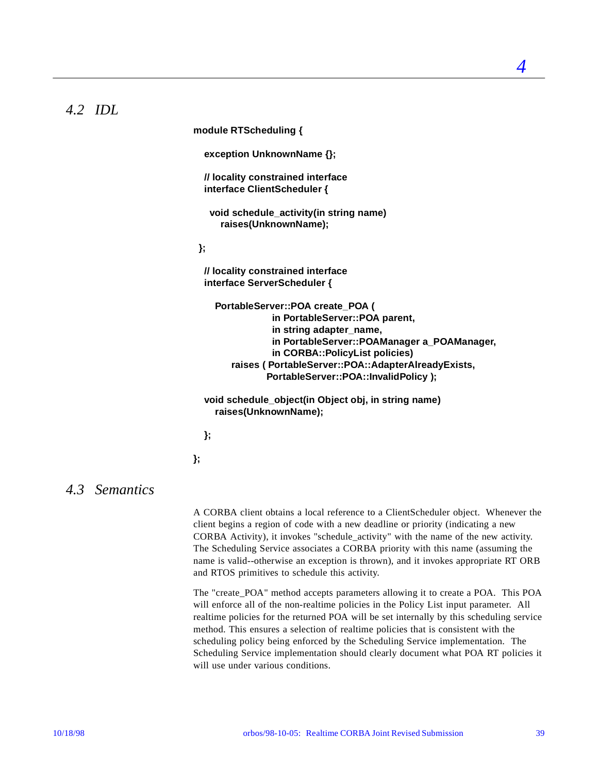## *4.2 IDL*

**module RTScheduling { exception UnknownName {}; // locality constrained interface interface ClientScheduler { void schedule\_activity(in string name) raises(UnknownName); }; // locality constrained interface interface ServerScheduler { PortableServer::POA create\_POA ( in PortableServer::POA parent, in string adapter\_name, in PortableServer::POAManager a\_POAManager, in CORBA::PolicyList policies) raises ( PortableServer::POA::AdapterAlreadyExists, PortableServer::POA::InvalidPolicy ); void schedule\_object(in Object obj, in string name)**

 **raises(UnknownName);**

 **};**

**};**

## *4.3 Semantics*

A CORBA client obtains a local reference to a ClientScheduler object. Whenever the client begins a region of code with a new deadline or priority (indicating a new CORBA Activity), it invokes "schedule\_activity" with the name of the new activity. The Scheduling Service associates a CORBA priority with this name (assuming the name is valid--otherwise an exception is thrown), and it invokes appropriate RT ORB and RTOS primitives to schedule this activity.

The "create\_POA" method accepts parameters allowing it to create a POA. This POA will enforce all of the non-realtime policies in the Policy List input parameter. All realtime policies for the returned POA will be set internally by this scheduling service method. This ensures a selection of realtime policies that is consistent with the scheduling policy being enforced by the Scheduling Service implementation. The Scheduling Service implementation should clearly document what POA RT policies it will use under various conditions.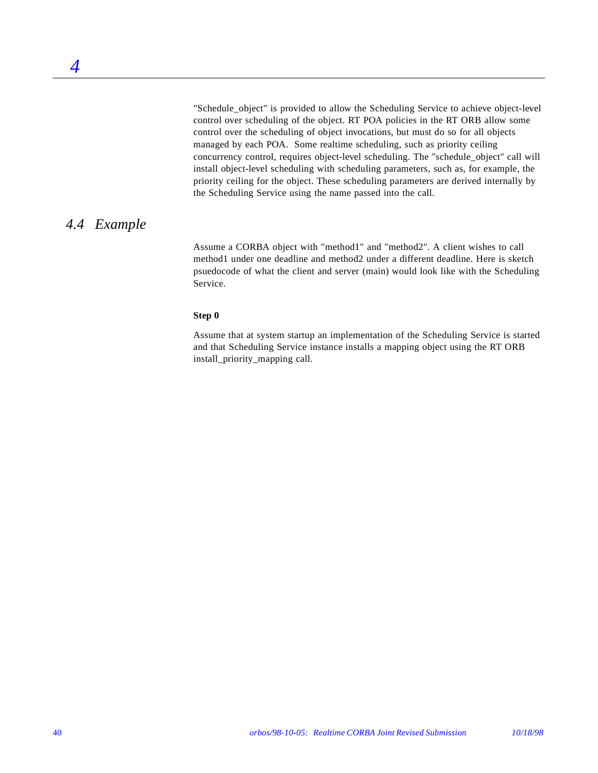"Schedule\_object" is provided to allow the Scheduling Service to achieve object-level control over scheduling of the object. RT POA policies in the RT ORB allow some control over the scheduling of object invocations, but must do so for all objects managed by each POA. Some realtime scheduling, such as priority ceiling concurrency control, requires object-level scheduling. The "schedule\_object" call will install object-level scheduling with scheduling parameters, such as, for example, the priority ceiling for the object. These scheduling parameters are derived internally by the Scheduling Service using the name passed into the call.

## *4.4 Example*

Assume a CORBA object with "method1" and "method2". A client wishes to call method1 under one deadline and method2 under a different deadline. Here is sketch psuedocode of what the client and server (main) would look like with the Scheduling Service.

#### **Step 0**

Assume that at system startup an implementation of the Scheduling Service is started and that Scheduling Service instance installs a mapping object using the RT ORB install\_priority\_mapping call.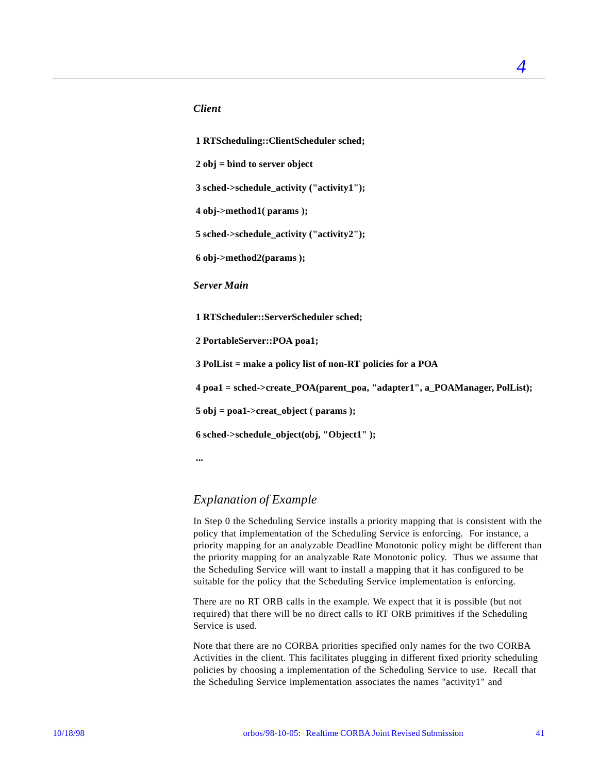#### *Client*

 **1 RTScheduling::ClientScheduler sched;**

 **2 obj = bind to server object**

 **3 sched->schedule\_activity ("activity1");**

 **4 obj->method1( params );**

 **5 sched->schedule\_activity ("activity2");**

 **6 obj->method2(params );**

*Server Main*

 **1 RTScheduler::ServerScheduler sched;**

 **2 PortableServer::POA poa1;**

 **3 PolList = make a policy list of non-RT policies for a POA**

 **4 poa1 = sched->create\_POA(parent\_poa, "adapter1", a\_POAManager, PolList);**

 **5 obj = poa1->creat\_object ( params );**

 **6 sched->schedule\_object(obj, "Object1" );**

 **...**

### *Explanation of Example*

In Step 0 the Scheduling Service installs a priority mapping that is consistent with the policy that implementation of the Scheduling Service is enforcing. For instance, a priority mapping for an analyzable Deadline Monotonic policy might be different than the priority mapping for an analyzable Rate Monotonic policy. Thus we assume that the Scheduling Service will want to install a mapping that it has configured to be suitable for the policy that the Scheduling Service implementation is enforcing.

There are no RT ORB calls in the example. We expect that it is possible (but not required) that there will be no direct calls to RT ORB primitives if the Scheduling Service is used.

Note that there are no CORBA priorities specified only names for the two CORBA Activities in the client. This facilitates plugging in different fixed priority scheduling policies by choosing a implementation of the Scheduling Service to use. Recall that the Scheduling Service implementation associates the names "activity1" and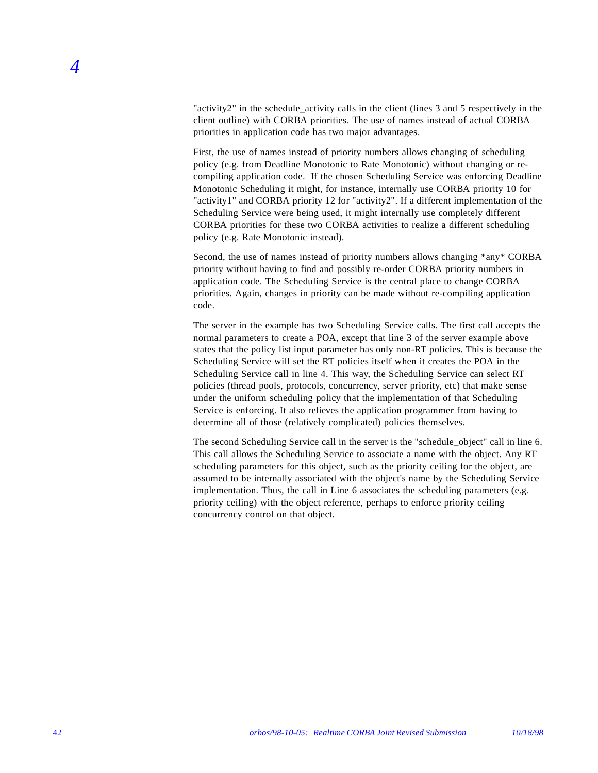"activity2" in the schedule activity calls in the client (lines  $3$  and  $5$  respectively in the client outline) with CORBA priorities. The use of names instead of actual CORBA priorities in application code has two major advantages.

First, the use of names instead of priority numbers allows changing of scheduling policy (e.g. from Deadline Monotonic to Rate Monotonic) without changing or recompiling application code. If the chosen Scheduling Service was enforcing Deadline Monotonic Scheduling it might, for instance, internally use CORBA priority 10 for "activity1" and CORBA priority 12 for "activity2". If a different implementation of the Scheduling Service were being used, it might internally use completely different CORBA priorities for these two CORBA activities to realize a different scheduling policy (e.g. Rate Monotonic instead).

Second, the use of names instead of priority numbers allows changing \*any\* CORBA priority without having to find and possibly re-order CORBA priority numbers in application code. The Scheduling Service is the central place to change CORBA priorities. Again, changes in priority can be made without re-compiling application code.

The server in the example has two Scheduling Service calls. The first call accepts the normal parameters to create a POA, except that line 3 of the server example above states that the policy list input parameter has only non-RT policies. This is because the Scheduling Service will set the RT policies itself when it creates the POA in the Scheduling Service call in line 4. This way, the Scheduling Service can select RT policies (thread pools, protocols, concurrency, server priority, etc) that make sense under the uniform scheduling policy that the implementation of that Scheduling Service is enforcing. It also relieves the application programmer from having to determine all of those (relatively complicated) policies themselves.

The second Scheduling Service call in the server is the "schedule\_object" call in line 6. This call allows the Scheduling Service to associate a name with the object. Any RT scheduling parameters for this object, such as the priority ceiling for the object, are assumed to be internally associated with the object's name by the Scheduling Service implementation. Thus, the call in Line 6 associates the scheduling parameters (e.g. priority ceiling) with the object reference, perhaps to enforce priority ceiling concurrency control on that object.